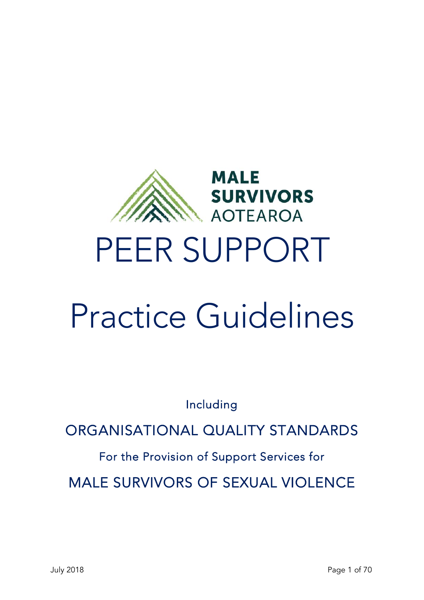

# PEER SUPPORT

# Practice Guidelines

Including

ORGANISATIONAL QUALITY STANDARDS

For the Provision of Support Services for

MALE SURVIVORS OF SEXUAL VIOLENCE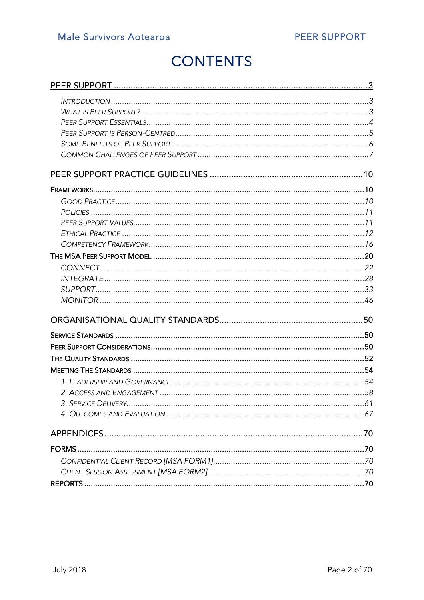# **CONTENTS**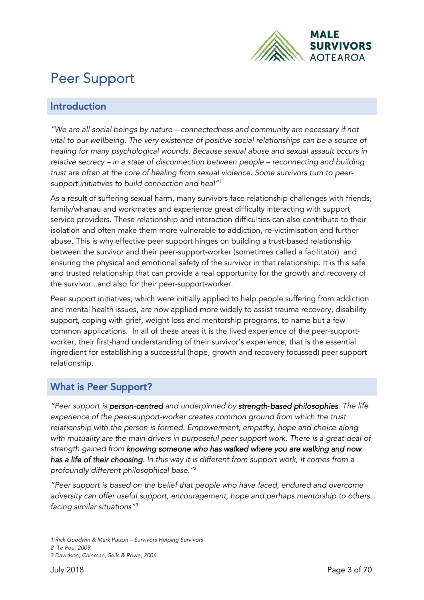

# Peer Support

#### Introduction

*"We are all social beings by nature – connectedness and community are necessary if not vital to our wellbeing. The very existence of positive social relationships can be a source of healing for many psychological wounds. Because sexual abuse and sexual assault occurs in relative secrecy – in a state of disconnection between people – reconnecting and building trust are often at the core of healing from sexual violence. Some survivors turn to peersupport initiatives to build connection and heal"*<sup>1</sup>

As a result of suffering sexual harm, many survivors face relationship challenges with friends, family/whanau and workmates and experience great difficulty interacting with support service providers. These relationship and interaction difficulties can also contribute to their isolation and often make them more vulnerable to addiction, re-victimisation and further abuse. This is why effective peer support hinges on building a trust-based relationship between the survivor and their peer-support-worker (sometimes called a facilitator) and ensuring the physical and emotional safety of the survivor in that relationship. It is this safe and trusted relationship that can provide a real opportunity for the growth and recovery of the survivor...and also for their peer-support-worker.

Peer support initiatives, which were initially applied to help people suffering from addiction and mental health issues, are now applied more widely to assist trauma recovery, disability support, coping with grief, weight loss and mentorship programs, to name but a few common applications. In all of these areas it is the lived experience of the peer-supportworker, their first-hand understanding of their survivor's experience, that is the essential ingredient for establishing a successful (hope, growth and recovery focussed) peer support relationship.

#### What is Peer Support?

*"Peer support is person-centred and underpinned by strength-based philosophies. The life experience of the peer-support-worker creates common ground from which the trust*  relationship with the person is formed. Empowerment, empathy, hope and choice along *with mutuality are the main drivers in purposeful peer support work. There is a great deal of strength gained from knowing someone who has walked where you are walking and now has a life of their choosing. In this way it is different from support work, it comes from a profoundly different philosophical base."*<sup>2</sup>

*"Peer support is based on the belief that people who have faced, endured and overcome adversity can offer useful support, encouragement, hope and perhaps mentorship to others facing similar situations"3*

1

*<sup>1</sup> Rick Goodwin & Mark Patton – Survivors Helping Survivors*

*<sup>2</sup> Te Pou, 2009* 

*<sup>3</sup> Davidson, Chinman, Sells & Rowe, 2006*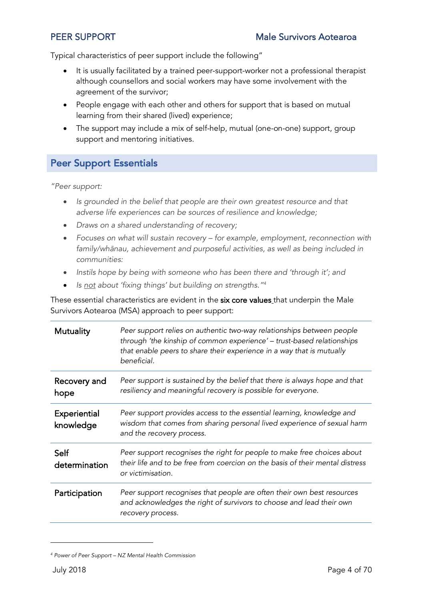Typical characteristics of peer support include the following"

- It is usually facilitated by a trained peer-support-worker not a professional therapist although counsellors and social workers may have some involvement with the agreement of the survivor;
- People engage with each other and others for support that is based on mutual learning from their shared (lived) experience;
- The support may include a mix of self-help, mutual (one-on-one) support, group support and mentoring initiatives.

#### Peer Support Essentials

*"Peer support:*

- *Is grounded in the belief that people are their own greatest resource and that adverse life experiences can be sources of resilience and knowledge;*
- *Draws on a shared understanding of recovery;*
- *Focuses on what will sustain recovery – for example, employment, reconnection with family/wh*ā*nau, achievement and purposeful activities, as well as being included in communities:*
- *Instils hope by being with someone who has been there and 'through it'; and*
- *Is not about 'fixing things' but building on strengths."4*

These essential characteristics are evident in the six core values that underpin the Male Survivors Aotearoa (MSA) approach to peer support:

| <b>Mutuality</b>          | Peer support relies on authentic two-way relationships between people<br>through 'the kinship of common experience' - trust-based relationships<br>that enable peers to share their experience in a way that is mutually<br>beneficial. |
|---------------------------|-----------------------------------------------------------------------------------------------------------------------------------------------------------------------------------------------------------------------------------------|
| Recovery and<br>hope      | Peer support is sustained by the belief that there is always hope and that<br>resiliency and meaningful recovery is possible for everyone.                                                                                              |
| Experiential<br>knowledge | Peer support provides access to the essential learning, knowledge and<br>wisdom that comes from sharing personal lived experience of sexual harm<br>and the recovery process.                                                           |
| Self<br>determination     | Peer support recognises the right for people to make free choices about<br>their life and to be free from coercion on the basis of their mental distress<br>or victimisation.                                                           |
| Participation             | Peer support recognises that people are often their own best resources<br>and acknowledges the right of survivors to choose and lead their own<br>recovery process.                                                                     |

*<sup>4</sup> Power of Peer Support – NZ Mental Health Commission*

1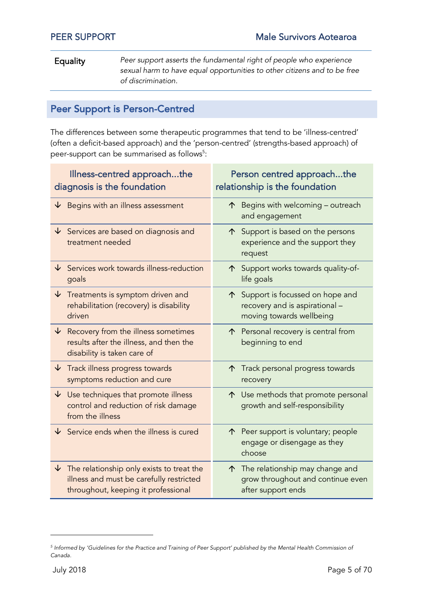Equality *Peer support asserts the fundamental right of people who experience sexual harm to have equal opportunities to other citizens and to be free of discrimination.*

### Peer Support is Person-Centred

The differences between some therapeutic programmes that tend to be 'illness-centred' (often a deficit-based approach) and the 'person-centred' (strengths-based approach) of peer-support can be summarised as follows<sup>5</sup>:

| Illness-centred approachthe<br>Person centred approachthe<br>diagnosis is the foundation<br>relationship is the foundation                |                                                                                                    |
|-------------------------------------------------------------------------------------------------------------------------------------------|----------------------------------------------------------------------------------------------------|
| Begins with an illness assessment<br>↓                                                                                                    | $\uparrow$ Begins with welcoming - outreach<br>and engagement                                      |
| $\downarrow$<br>Services are based on diagnosis and<br>treatment needed                                                                   | $\uparrow$ Support is based on the persons<br>experience and the support they<br>request           |
| $\downarrow$ Services work towards illness-reduction<br>goals                                                                             | Support works towards quality-of-<br>↑<br>life goals                                               |
| $\sqrt{ }$ Treatments is symptom driven and<br>rehabilitation (recovery) is disability<br>driven                                          | Support is focussed on hope and<br>个<br>recovery and is aspirational -<br>moving towards wellbeing |
| $\downarrow$<br>Recovery from the illness sometimes<br>results after the illness, and then the<br>disability is taken care of             | Personal recovery is central from<br>↑<br>beginning to end                                         |
| $\sqrt{\ }$ Track illness progress towards<br>symptoms reduction and cure                                                                 | Track personal progress towards<br>↑<br>recovery                                                   |
| $\downarrow$ Use techniques that promote illness<br>control and reduction of risk damage<br>from the illness                              | ↑ Use methods that promote personal<br>growth and self-responsibility                              |
| $\overline{\mathsf{V}}$ Service ends when the illness is cured                                                                            | ↑ Peer support is voluntary; people<br>engage or disengage as they<br>choose                       |
| $\downarrow$ The relationship only exists to treat the<br>illness and must be carefully restricted<br>throughout, keeping it professional | ↑ The relationship may change and<br>grow throughout and continue even<br>after support ends       |

l

*<sup>5</sup> Informed by 'Guidelines for the Practice and Training of Peer Support' published by the Mental Health Commission of Canada.*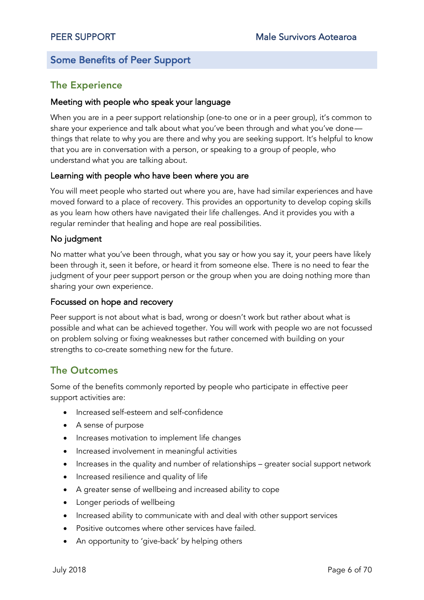#### Some Benefits of Peer Support

#### The Experience

#### Meeting with people who speak your language

When you are in a peer support relationship (one-to one or in a peer group), it's common to share your experience and talk about what you've been through and what you've done things that relate to why you are there and why you are seeking support. It's helpful to know that you are in conversation with a person, or speaking to a group of people, who understand what you are talking about.

#### Learning with people who have been where you are

You will meet people who started out where you are, have had similar experiences and have moved forward to a place of recovery. This provides an opportunity to develop coping skills as you learn how others have navigated their life challenges. And it provides you with a regular reminder that healing and hope are real possibilities.

#### No judgment

No matter what you've been through, what you say or how you say it, your peers have likely been through it, seen it before, or heard it from someone else. There is no need to fear the judgment of your peer support person or the group when you are doing nothing more than sharing your own experience.

#### Focussed on hope and recovery

Peer support is not about what is bad, wrong or doesn't work but rather about what is possible and what can be achieved together. You will work with people wo are not focussed on problem solving or fixing weaknesses but rather concerned with building on your strengths to co-create something new for the future.

#### The Outcomes

Some of the benefits commonly reported by people who participate in effective peer support activities are:

- Increased self-esteem and self-confidence
- A sense of purpose
- Increases motivation to implement life changes
- Increased involvement in meaningful activities
- Increases in the quality and number of relationships greater social support network
- Increased resilience and quality of life
- A greater sense of wellbeing and increased ability to cope
- Longer periods of wellbeing
- Increased ability to communicate with and deal with other support services
- Positive outcomes where other services have failed.
- An opportunity to 'give-back' by helping others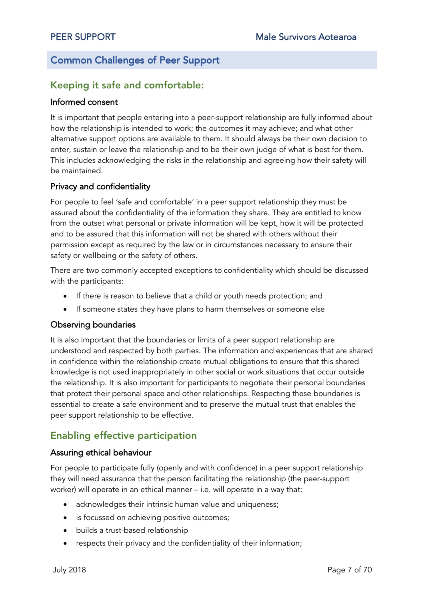#### Common Challenges of Peer Support

#### Keeping it safe and comfortable:

#### Informed consent

It is important that people entering into a peer-support relationship are fully informed about how the relationship is intended to work; the outcomes it may achieve; and what other alternative support options are available to them. It should always be their own decision to enter, sustain or leave the relationship and to be their own judge of what is best for them. This includes acknowledging the risks in the relationship and agreeing how their safety will be maintained.

#### Privacy and confidentiality

For people to feel 'safe and comfortable' in a peer support relationship they must be assured about the confidentiality of the information they share. They are entitled to know from the outset what personal or private information will be kept, how it will be protected and to be assured that this information will not be shared with others without their permission except as required by the law or in circumstances necessary to ensure their safety or wellbeing or the safety of others.

There are two commonly accepted exceptions to confidentiality which should be discussed with the participants:

- If there is reason to believe that a child or youth needs protection; and
- If someone states they have plans to harm themselves or someone else

#### Observing boundaries

It is also important that the boundaries or limits of a peer support relationship are understood and respected by both parties. The information and experiences that are shared in confidence within the relationship create mutual obligations to ensure that this shared knowledge is not used inappropriately in other social or work situations that occur outside the relationship. It is also important for participants to negotiate their personal boundaries that protect their personal space and other relationships. Respecting these boundaries is essential to create a safe environment and to preserve the mutual trust that enables the peer support relationship to be effective.

### Enabling effective participation

#### Assuring ethical behaviour

For people to participate fully (openly and with confidence) in a peer support relationship they will need assurance that the person facilitating the relationship (the peer-support worker) will operate in an ethical manner – i.e. will operate in a way that:

- acknowledges their intrinsic human value and uniqueness;
- is focussed on achieving positive outcomes;
- builds a trust-based relationship
- respects their privacy and the confidentiality of their information;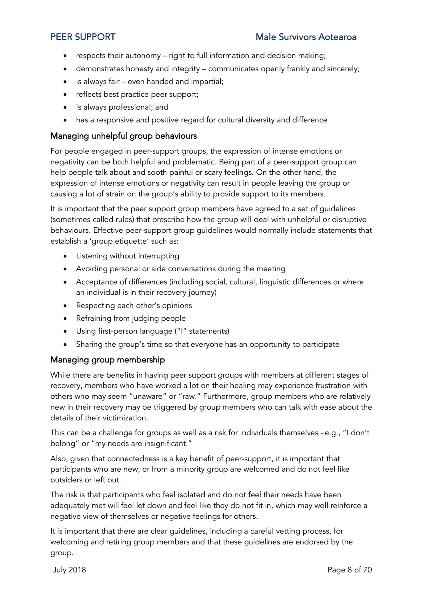- respects their autonomy right to full information and decision making;
- demonstrates honesty and integrity communicates openly frankly and sincerely;
- is always fair even handed and impartial;
- reflects best practice peer support;
- is always professional; and
- has a responsive and positive regard for cultural diversity and difference

#### Managing unhelpful group behaviours

For people engaged in peer-support groups, the expression of intense emotions or negativity can be both helpful and problematic. Being part of a peer-support group can help people talk about and sooth painful or scary feelings. On the other hand, the expression of intense emotions or negativity can result in people leaving the group or causing a lot of strain on the group's ability to provide support to its members.

It is important that the peer support group members have agreed to a set of guidelines (sometimes called rules) that prescribe how the group will deal with unhelpful or disruptive behaviours. Effective peer-support group guidelines would normally include statements that establish a 'group etiquette' such as:

- Listening without interrupting
- Avoiding personal or side conversations during the meeting
- Acceptance of differences (including social, cultural, linguistic differences or where an individual is in their recovery journey)
- Respecting each other's opinions
- Refraining from judging people
- Using first-person language ("I" statements)
- Sharing the group's time so that everyone has an opportunity to participate

#### Managing group membership

While there are benefits in having peer support groups with members at different stages of recovery, members who have worked a lot on their healing may experience frustration with others who may seem "unaware" or "raw." Furthermore, group members who are relatively new in their recovery may be triggered by group members who can talk with ease about the details of their victimization.

This can be a challenge for groups as well as a risk for individuals themselves - e.g., "I don't belong" or "my needs are insignificant."

Also, given that connectedness is a key benefit of peer-support, it is important that participants who are new, or from a minority group are welcomed and do not feel like outsiders or left out.

The risk is that participants who feel isolated and do not feel their needs have been adequately met will feel let down and feel like they do not fit in, which may well reinforce a negative view of themselves or negative feelings for others.

It is important that there are clear guidelines, including a careful vetting process, for welcoming and retiring group members and that these guidelines are endorsed by the group.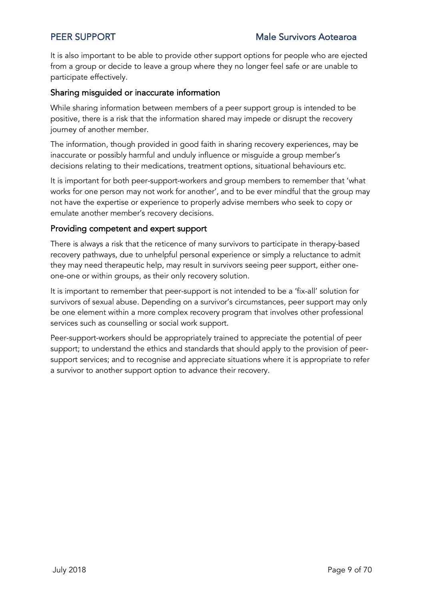It is also important to be able to provide other support options for people who are ejected from a group or decide to leave a group where they no longer feel safe or are unable to participate effectively.

#### Sharing misguided or inaccurate information

While sharing information between members of a peer support group is intended to be positive, there is a risk that the information shared may impede or disrupt the recovery journey of another member.

The information, though provided in good faith in sharing recovery experiences, may be inaccurate or possibly harmful and unduly influence or misguide a group member's decisions relating to their medications, treatment options, situational behaviours etc.

It is important for both peer-support-workers and group members to remember that 'what works for one person may not work for another', and to be ever mindful that the group may not have the expertise or experience to properly advise members who seek to copy or emulate another member's recovery decisions.

#### Providing competent and expert support

There is always a risk that the reticence of many survivors to participate in therapy-based recovery pathways, due to unhelpful personal experience or simply a reluctance to admit they may need therapeutic help, may result in survivors seeing peer support, either oneone-one or within groups, as their only recovery solution.

It is important to remember that peer-support is not intended to be a 'fix-all' solution for survivors of sexual abuse. Depending on a survivor's circumstances, peer support may only be one element within a more complex recovery program that involves other professional services such as counselling or social work support.

Peer-support-workers should be appropriately trained to appreciate the potential of peer support; to understand the ethics and standards that should apply to the provision of peersupport services; and to recognise and appreciate situations where it is appropriate to refer a survivor to another support option to advance their recovery.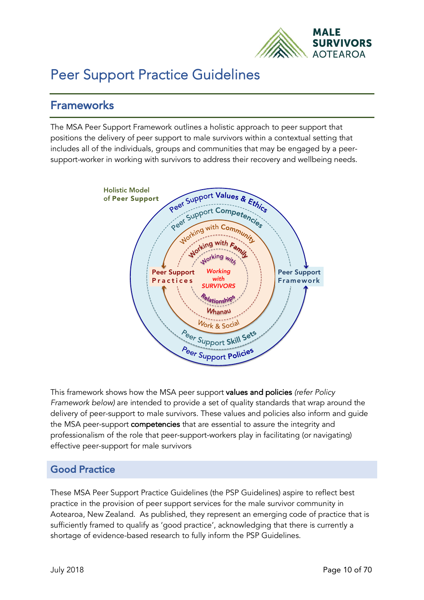

# Peer Support Practice Guidelines

## **Frameworks**

The MSA Peer Support Framework outlines a holistic approach to peer support that positions the delivery of peer support to male survivors within a contextual setting that includes all of the individuals, groups and communities that may be engaged by a peersupport-worker in working with survivors to address their recovery and wellbeing needs.



This framework shows how the MSA peer support values and policies *(refer Policy Framework below)* are intended to provide a set of quality standards that wrap around the delivery of peer-support to male survivors. These values and policies also inform and guide the MSA peer-support competencies that are essential to assure the integrity and professionalism of the role that peer-support-workers play in facilitating (or navigating) effective peer-support for male survivors

#### Good Practice

These MSA Peer Support Practice Guidelines (the PSP Guidelines) aspire to reflect best practice in the provision of peer support services for the male survivor community in Aotearoa, New Zealand. As published, they represent an emerging code of practice that is sufficiently framed to qualify as 'good practice', acknowledging that there is currently a shortage of evidence-based research to fully inform the PSP Guidelines.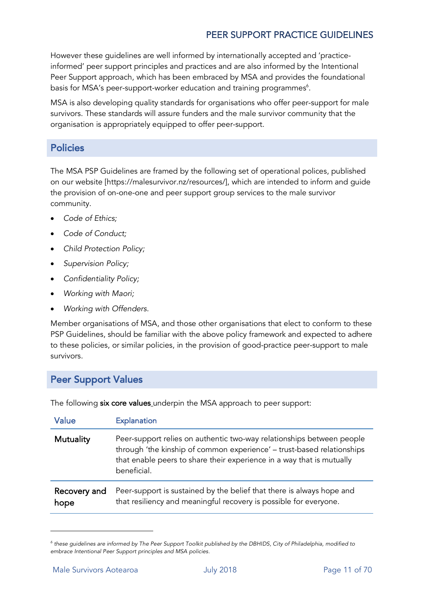However these guidelines are well informed by internationally accepted and 'practiceinformed' peer support principles and practices and are also informed by the Intentional Peer Support approach, which has been embraced by MSA and provides the foundational basis for MSA's peer-support-worker education and training programmes $^6$ .

MSA is also developing quality standards for organisations who offer peer-support for male survivors. These standards will assure funders and the male survivor community that the organisation is appropriately equipped to offer peer-support.

#### **Policies**

The MSA PSP Guidelines are framed by the following set of operational polices, published on our website [https://malesurvivor.nz/resources/], which are intended to inform and guide the provision of on-one-one and peer support group services to the male survivor community.

- *Code of Ethics;*
- *Code of Conduct;*
- *Child Protection Policy;*
- *Supervision Policy;*
- *Confidentiality Policy;*
- *Working with Maori;*
- *Working with Offenders.*

Member organisations of MSA, and those other organisations that elect to conform to these PSP Guidelines, should be familiar with the above policy framework and expected to adhere to these policies, or similar policies, in the provision of good-practice peer-support to male survivors.

#### Peer Support Values

The following six core values underpin the MSA approach to peer support:

| Value                | <b>Explanation</b>                                                                                                                                                                                                                      |
|----------------------|-----------------------------------------------------------------------------------------------------------------------------------------------------------------------------------------------------------------------------------------|
| Mutuality            | Peer-support relies on authentic two-way relationships between people<br>through 'the kinship of common experience' - trust-based relationships<br>that enable peers to share their experience in a way that is mutually<br>beneficial. |
| Recovery and<br>hope | Peer-support is sustained by the belief that there is always hope and<br>that resiliency and meaningful recovery is possible for everyone.                                                                                              |

*<sup>6</sup> these guidelines are informed by The Peer Support Toolkit published by the DBHIDS, City of Philadelphia, modified to embrace Intentional Peer Support principles and MSA policies.*

1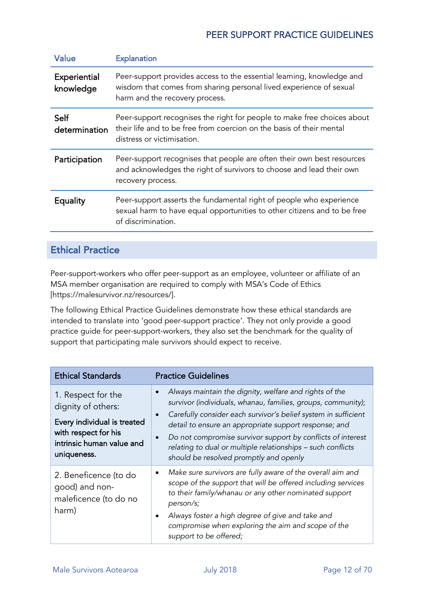| Value                     | <b>Explanation</b>                                                                                                                                                            |
|---------------------------|-------------------------------------------------------------------------------------------------------------------------------------------------------------------------------|
| Experiential<br>knowledge | Peer-support provides access to the essential learning, knowledge and<br>wisdom that comes from sharing personal lived experience of sexual<br>harm and the recovery process. |
| Self<br>determination     | Peer-support recognises the right for people to make free choices about<br>their life and to be free from coercion on the basis of their mental<br>distress or victimisation. |
| Participation             | Peer-support recognises that people are often their own best resources<br>and acknowledges the right of survivors to choose and lead their own<br>recovery process.           |
| Equality                  | Peer-support asserts the fundamental right of people who experience<br>sexual harm to have equal opportunities to other citizens and to be free<br>of discrimination.         |
|                           |                                                                                                                                                                               |

### Ethical Practice

Peer-support-workers who offer peer-support as an employee, volunteer or affiliate of an MSA member organisation are required to comply with MSA's Code of Ethics [https://malesurvivor.nz/resources/].

The following Ethical Practice Guidelines demonstrate how these ethical standards are intended to translate into 'good peer-support practice'. They not only provide a good practice guide for peer-support-workers, they also set the benchmark for the quality of support that participating male survivors should expect to receive.

| <b>Ethical Standards</b>                                                                                                                    | <b>Practice Guidelines</b>                                                                                                                                                                                                                                                                                                                                                                                                             |
|---------------------------------------------------------------------------------------------------------------------------------------------|----------------------------------------------------------------------------------------------------------------------------------------------------------------------------------------------------------------------------------------------------------------------------------------------------------------------------------------------------------------------------------------------------------------------------------------|
| 1. Respect for the<br>dignity of others:<br>Every individual is treated<br>with respect for his<br>intrinsic human value and<br>uniqueness. | Always maintain the dignity, welfare and rights of the<br>survivor (individuals, whanau, families, groups, community);<br>Carefully consider each survivor's belief system in sufficient<br>$\bullet$<br>detail to ensure an appropriate support response; and<br>Do not compromise survivor support by conflicts of interest<br>relating to dual or multiple relationships - such conflicts<br>should be resolved promptly and openly |
| 2. Beneficence (to do<br>good) and non-<br>maleficence (to do no<br>harm)                                                                   | Make sure survivors are fully aware of the overall aim and<br>$\bullet$<br>scope of the support that will be offered including services<br>to their family/whanau or any other nominated support<br>person/s;<br>Always foster a high degree of give and take and<br>compromise when exploring the aim and scope of the<br>support to be offered;                                                                                      |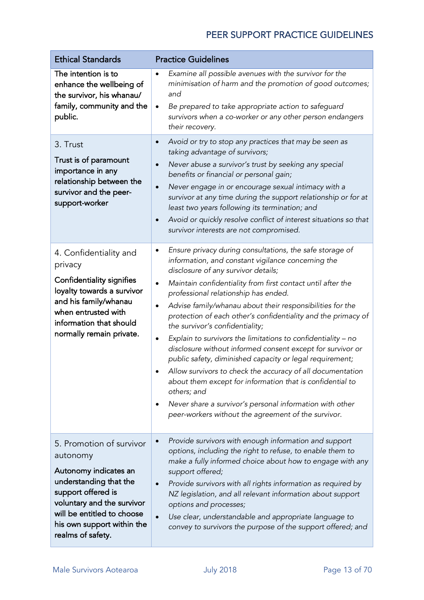| <b>Ethical Standards</b>                                                                                                                                                                                                     | <b>Practice Guidelines</b>                                                                                                                                                                                                                                                                                                                                                                                                                                                                                                                                                                                                                                                                                                                                                                                                                                                                                               |
|------------------------------------------------------------------------------------------------------------------------------------------------------------------------------------------------------------------------------|--------------------------------------------------------------------------------------------------------------------------------------------------------------------------------------------------------------------------------------------------------------------------------------------------------------------------------------------------------------------------------------------------------------------------------------------------------------------------------------------------------------------------------------------------------------------------------------------------------------------------------------------------------------------------------------------------------------------------------------------------------------------------------------------------------------------------------------------------------------------------------------------------------------------------|
| The intention is to<br>enhance the wellbeing of<br>the survivor, his whanau/<br>family, community and the<br>public.                                                                                                         | Examine all possible avenues with the survivor for the<br>$\bullet$<br>minimisation of harm and the promotion of good outcomes;<br>and<br>Be prepared to take appropriate action to safeguard<br>$\bullet$                                                                                                                                                                                                                                                                                                                                                                                                                                                                                                                                                                                                                                                                                                               |
|                                                                                                                                                                                                                              | survivors when a co-worker or any other person endangers<br>their recovery.                                                                                                                                                                                                                                                                                                                                                                                                                                                                                                                                                                                                                                                                                                                                                                                                                                              |
| 3. Trust<br>Trust is of paramount<br>importance in any<br>relationship between the<br>survivor and the peer-<br>support-worker                                                                                               | Avoid or try to stop any practices that may be seen as<br>$\bullet$<br>taking advantage of survivors;<br>Never abuse a survivor's trust by seeking any special<br>$\bullet$<br>benefits or financial or personal gain;<br>Never engage in or encourage sexual intimacy with a<br>$\bullet$<br>survivor at any time during the support relationship or for at<br>least two years following its termination; and<br>Avoid or quickly resolve conflict of interest situations so that<br>$\bullet$<br>survivor interests are not compromised.                                                                                                                                                                                                                                                                                                                                                                               |
| 4. Confidentiality and<br>privacy<br><b>Confidentiality signifies</b><br>loyalty towards a survivor<br>and his family/whanau<br>when entrusted with<br>information that should<br>normally remain private.                   | Ensure privacy during consultations, the safe storage of<br>$\bullet$<br>information, and constant vigilance concerning the<br>disclosure of any survivor details;<br>Maintain confidentiality from first contact until after the<br>$\bullet$<br>professional relationship has ended.<br>Advise family/whanau about their responsibilities for the<br>٠<br>protection of each other's confidentiality and the primacy of<br>the survivor's confidentiality;<br>Explain to survivors the limitations to confidentiality - no<br>٠<br>disclosure without informed consent except for survivor or<br>public safety, diminished capacity or legal requirement;<br>Allow survivors to check the accuracy of all documentation<br>about them except for information that is confidential to<br>others; and<br>Never share a survivor's personal information with other<br>peer-workers without the agreement of the survivor. |
| 5. Promotion of survivor<br>autonomy<br>Autonomy indicates an<br>understanding that the<br>support offered is<br>voluntary and the survivor<br>will be entitled to choose<br>his own support within the<br>realms of safety. | Provide survivors with enough information and support<br>$\bullet$<br>options, including the right to refuse, to enable them to<br>make a fully informed choice about how to engage with any<br>support offered;<br>Provide survivors with all rights information as required by<br>NZ legislation, and all relevant information about support<br>options and processes;<br>Use clear, understandable and appropriate language to<br>$\bullet$<br>convey to survivors the purpose of the support offered; and                                                                                                                                                                                                                                                                                                                                                                                                            |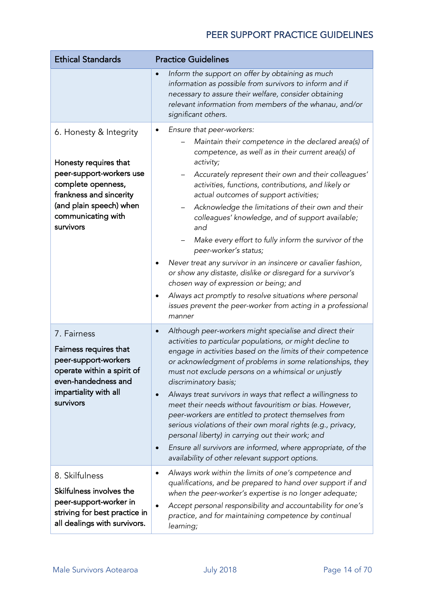| <b>Ethical Standards</b>                                                                                                                                                                   | <b>Practice Guidelines</b>                                                                                                                                                                                                                                                                                                                                                                                                                                                                                                                                                                                                                                                                                                                                                                                                       |
|--------------------------------------------------------------------------------------------------------------------------------------------------------------------------------------------|----------------------------------------------------------------------------------------------------------------------------------------------------------------------------------------------------------------------------------------------------------------------------------------------------------------------------------------------------------------------------------------------------------------------------------------------------------------------------------------------------------------------------------------------------------------------------------------------------------------------------------------------------------------------------------------------------------------------------------------------------------------------------------------------------------------------------------|
|                                                                                                                                                                                            | Inform the support on offer by obtaining as much<br>information as possible from survivors to inform and if<br>necessary to assure their welfare, consider obtaining<br>relevant information from members of the whanau, and/or<br>significant others.                                                                                                                                                                                                                                                                                                                                                                                                                                                                                                                                                                           |
| 6. Honesty & Integrity<br>Honesty requires that<br>peer-support-workers use<br>complete openness,<br>frankness and sincerity<br>(and plain speech) when<br>communicating with<br>survivors | Ensure that peer-workers:<br>Maintain their competence in the declared area(s) of<br>competence, as well as in their current area(s) of<br>activity;<br>Accurately represent their own and their colleagues'<br>activities, functions, contributions, and likely or<br>actual outcomes of support activities;<br>Acknowledge the limitations of their own and their<br>colleagues' knowledge, and of support available;<br>and<br>Make every effort to fully inform the survivor of the<br>peer-worker's status;<br>Never treat any survivor in an insincere or cavalier fashion,<br>or show any distaste, dislike or disregard for a survivor's<br>chosen way of expression or being; and<br>Always act promptly to resolve situations where personal<br>issues prevent the peer-worker from acting in a professional<br>manner |
| 7. Fairness<br>Fairness requires that<br>peer-support-workers<br>operate within a spirit of<br>even-handedness and<br>impartiality with all<br>survivors                                   | Although peer-workers might specialise and direct their<br>activities to particular populations, or might decline to<br>engage in activities based on the limits of their competence<br>or acknowledgment of problems in some relationships, they<br>must not exclude persons on a whimsical or unjustly<br>discriminatory basis;<br>Always treat survivors in ways that reflect a willingness to<br>meet their needs without favouritism or bias. However,<br>peer-workers are entitled to protect themselves from<br>serious violations of their own moral rights (e.g., privacy,<br>personal liberty) in carrying out their work; and<br>Ensure all survivors are informed, where appropriate, of the<br>$\bullet$<br>availability of other relevant support options.                                                         |
| 8. Skilfulness<br>Skilfulness involves the<br>peer-support-worker in<br>striving for best practice in<br>all dealings with survivors.                                                      | Always work within the limits of one's competence and<br>$\bullet$<br>qualifications, and be prepared to hand over support if and<br>when the peer-worker's expertise is no longer adequate;<br>Accept personal responsibility and accountability for one's<br>$\bullet$<br>practice, and for maintaining competence by continual<br>learning;                                                                                                                                                                                                                                                                                                                                                                                                                                                                                   |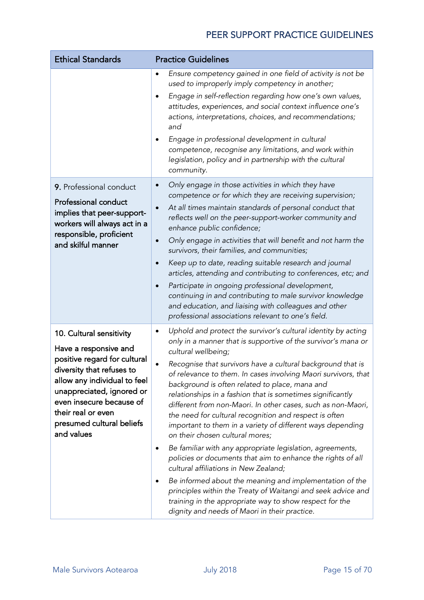| <b>Ethical Standards</b>                                                                                                                                                                                                                                                 | <b>Practice Guidelines</b>                                                                                                                                                                                                                                                                                                                                                                                                                                                                                                                                                                                                                                                                                                                                                                                                                                                                                                                                                                                                                              |
|--------------------------------------------------------------------------------------------------------------------------------------------------------------------------------------------------------------------------------------------------------------------------|---------------------------------------------------------------------------------------------------------------------------------------------------------------------------------------------------------------------------------------------------------------------------------------------------------------------------------------------------------------------------------------------------------------------------------------------------------------------------------------------------------------------------------------------------------------------------------------------------------------------------------------------------------------------------------------------------------------------------------------------------------------------------------------------------------------------------------------------------------------------------------------------------------------------------------------------------------------------------------------------------------------------------------------------------------|
|                                                                                                                                                                                                                                                                          | Ensure competency gained in one field of activity is not be<br>٠<br>used to improperly imply competency in another;<br>Engage in self-reflection regarding how one's own values,<br>attitudes, experiences, and social context influence one's<br>actions, interpretations, choices, and recommendations;<br>and<br>Engage in professional development in cultural<br>٠<br>competence, recognise any limitations, and work within<br>legislation, policy and in partnership with the cultural<br>community.                                                                                                                                                                                                                                                                                                                                                                                                                                                                                                                                             |
| 9. Professional conduct<br>Professional conduct<br>implies that peer-support-<br>workers will always act in a<br>responsible, proficient<br>and skilful manner                                                                                                           | Only engage in those activities in which they have<br>competence or for which they are receiving supervision;<br>At all times maintain standards of personal conduct that<br>$\bullet$<br>reflects well on the peer-support-worker community and<br>enhance public confidence;<br>Only engage in activities that will benefit and not harm the<br>$\bullet$<br>survivors, their families, and communities;<br>Keep up to date, reading suitable research and journal<br>$\bullet$<br>articles, attending and contributing to conferences, etc; and<br>Participate in ongoing professional development,<br>continuing in and contributing to male survivor knowledge<br>and education, and liaising with colleagues and other<br>professional associations relevant to one's field.                                                                                                                                                                                                                                                                      |
| 10. Cultural sensitivity<br>Have a responsive and<br>positive regard for cultural<br>diversity that refuses to<br>allow any individual to feel<br>unappreciated, ignored or<br>even insecure because of<br>their real or even<br>presumed cultural beliefs<br>and values | Uphold and protect the survivor's cultural identity by acting<br>٠<br>only in a manner that is supportive of the survivor's mana or<br>cultural wellbeing;<br>Recognise that survivors have a cultural background that is<br>of relevance to them. In cases involving Maori survivors, that<br>background is often related to place, mana and<br>relationships in a fashion that is sometimes significantly<br>different from non-Maori. In other cases, such as non-Maori,<br>the need for cultural recognition and respect is often<br>important to them in a variety of different ways depending<br>on their chosen cultural mores;<br>Be familiar with any appropriate legislation, agreements,<br>٠<br>policies or documents that aim to enhance the rights of all<br>cultural affiliations in New Zealand;<br>Be informed about the meaning and implementation of the<br>principles within the Treaty of Waitangi and seek advice and<br>training in the appropriate way to show respect for the<br>dignity and needs of Maori in their practice. |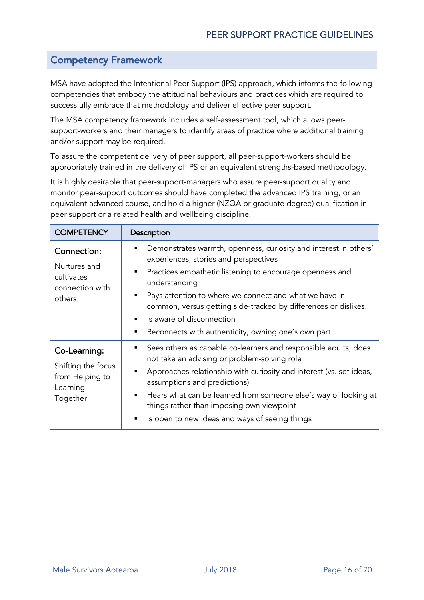#### Competency Framework

MSA have adopted the Intentional Peer Support (IPS) approach, which informs the following competencies that embody the attitudinal behaviours and practices which are required to successfully embrace that methodology and deliver effective peer support.

The MSA competency framework includes a self-assessment tool, which allows peersupport-workers and their managers to identify areas of practice where additional training and/or support may be required.

To assure the competent delivery of peer support, all peer-support-workers should be appropriately trained in the delivery of IPS or an equivalent strengths-based methodology.

It is highly desirable that peer-support-managers who assure peer-support quality and monitor peer-support outcomes should have completed the advanced IPS training, or an equivalent advanced course, and hold a higher (NZQA or graduate degree) qualification in peer support or a related health and wellbeing discipline.

| <b>COMPETENCY</b>                                                             | Description                                                                                                                                                                                                                                                                                                                                                                                                                                           |
|-------------------------------------------------------------------------------|-------------------------------------------------------------------------------------------------------------------------------------------------------------------------------------------------------------------------------------------------------------------------------------------------------------------------------------------------------------------------------------------------------------------------------------------------------|
| Connection:<br>Nurtures and<br>cultivates<br>connection with<br>others        | Demonstrates warmth, openness, curiosity and interest in others'<br>٠<br>experiences, stories and perspectives<br>Practices empathetic listening to encourage openness and<br>$\blacksquare$<br>understanding<br>Pays attention to where we connect and what we have in<br>common, versus getting side-tracked by differences or dislikes.<br>Is aware of disconnection<br>$\blacksquare$<br>Reconnects with authenticity, owning one's own part<br>٠ |
| Co-Learning:<br>Shifting the focus<br>from Helping to<br>Learning<br>Together | Sees others as capable co-learners and responsible adults; does<br>٠<br>not take an advising or problem-solving role<br>Approaches relationship with curiosity and interest (vs. set ideas,<br>assumptions and predictions)<br>Hears what can be learned from someone else's way of looking at<br>$\blacksquare$<br>things rather than imposing own viewpoint<br>Is open to new ideas and ways of seeing things<br>٠                                  |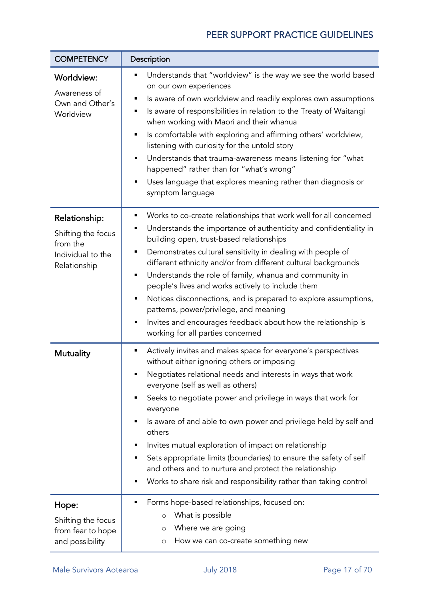| <b>COMPETENCY</b>                                                                    | Description                                                                                                                                                                                                                                                                                                                                                                                                                                                                                                                                                                                                                                                                                       |  |
|--------------------------------------------------------------------------------------|---------------------------------------------------------------------------------------------------------------------------------------------------------------------------------------------------------------------------------------------------------------------------------------------------------------------------------------------------------------------------------------------------------------------------------------------------------------------------------------------------------------------------------------------------------------------------------------------------------------------------------------------------------------------------------------------------|--|
| <b>Worldview:</b><br>Awareness of<br>Own and Other's<br>Worldview                    | Understands that "worldview" is the way we see the world based<br>٠<br>on our own experiences<br>Is aware of own worldview and readily explores own assumptions<br>٠<br>Is aware of responsibilities in relation to the Treaty of Waitangi<br>٠<br>when working with Maori and their whanua<br>Is comfortable with exploring and affirming others' worldview,<br>٠<br>listening with curiosity for the untold story<br>Understands that trauma-awareness means listening for "what<br>$\blacksquare$<br>happened" rather than for "what's wrong"<br>Uses language that explores meaning rather than diagnosis or<br>٠<br>symptom language                                                         |  |
| Relationship:<br>Shifting the focus<br>from the<br>Individual to the<br>Relationship | Works to co-create relationships that work well for all concerned<br>٠<br>Understands the importance of authenticity and confidentiality in<br>٠<br>building open, trust-based relationships<br>Demonstrates cultural sensitivity in dealing with people of<br>٠<br>different ethnicity and/or from different cultural backgrounds<br>Understands the role of family, whanua and community in<br>$\blacksquare$<br>people's lives and works actively to include them<br>Notices disconnections, and is prepared to explore assumptions,<br>٠<br>patterns, power/privilege, and meaning<br>Invites and encourages feedback about how the relationship is<br>٠<br>working for all parties concerned |  |
| <b>Mutuality</b>                                                                     | Actively invites and makes space for everyone's perspectives<br>٠<br>without either ignoring others or imposing<br>Negotiates relational needs and interests in ways that work<br>٠<br>everyone (self as well as others)<br>Seeks to negotiate power and privilege in ways that work for<br>٠<br>everyone<br>Is aware of and able to own power and privilege held by self and<br>٠<br>others<br>Invites mutual exploration of impact on relationship<br>٠<br>Sets appropriate limits (boundaries) to ensure the safety of self<br>٠<br>and others and to nurture and protect the relationship<br>Works to share risk and responsibility rather than taking control<br>٠                           |  |
| Hope:<br>Shifting the focus<br>from fear to hope<br>and possibility                  | Forms hope-based relationships, focused on:<br>п<br>What is possible<br>$\circ$<br>Where we are going<br>O<br>How we can co-create something new<br>O                                                                                                                                                                                                                                                                                                                                                                                                                                                                                                                                             |  |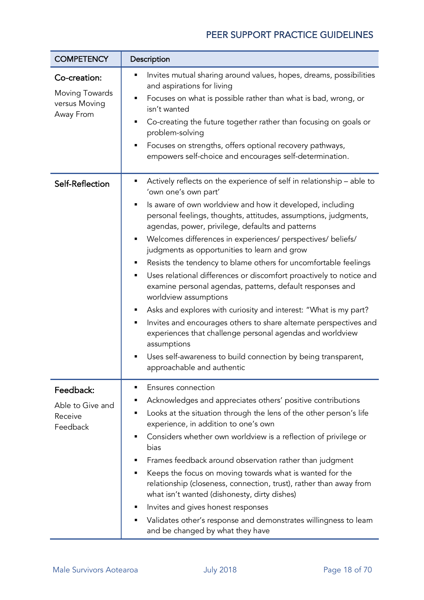| <b>COMPETENCY</b>                                            | Description                                                                                                                                                                                                                                                                                                                                                                                                                                                                                                                                                                                                                                                                                                                                                                                                                                                                                                                                                              |  |
|--------------------------------------------------------------|--------------------------------------------------------------------------------------------------------------------------------------------------------------------------------------------------------------------------------------------------------------------------------------------------------------------------------------------------------------------------------------------------------------------------------------------------------------------------------------------------------------------------------------------------------------------------------------------------------------------------------------------------------------------------------------------------------------------------------------------------------------------------------------------------------------------------------------------------------------------------------------------------------------------------------------------------------------------------|--|
| Co-creation:<br>Moving Towards<br>versus Moving<br>Away From | Invites mutual sharing around values, hopes, dreams, possibilities<br>Ξ<br>and aspirations for living<br>Focuses on what is possible rather than what is bad, wrong, or<br>٠<br>isn't wanted<br>Co-creating the future together rather than focusing on goals or<br>problem-solving<br>Focuses on strengths, offers optional recovery pathways,<br>empowers self-choice and encourages self-determination.                                                                                                                                                                                                                                                                                                                                                                                                                                                                                                                                                               |  |
| Self-Reflection                                              | Actively reflects on the experience of self in relationship – able to<br>٠<br>'own one's own part'<br>Is aware of own worldview and how it developed, including<br>Е<br>personal feelings, thoughts, attitudes, assumptions, judgments,<br>agendas, power, privilege, defaults and patterns<br>Welcomes differences in experiences/ perspectives/ beliefs/<br>٠<br>judgments as opportunities to learn and grow<br>Resists the tendency to blame others for uncomfortable feelings<br>Uses relational differences or discomfort proactively to notice and<br>٠<br>examine personal agendas, patterns, default responses and<br>worldview assumptions<br>Asks and explores with curiosity and interest: "What is my part?<br>Invites and encourages others to share alternate perspectives and<br>experiences that challenge personal agendas and worldview<br>assumptions<br>Uses self-awareness to build connection by being transparent,<br>approachable and authentic |  |
| Feedback:<br>Able to Give and<br>Receive<br>Feedback         | Ensures connection<br>٠<br>Acknowledges and appreciates others' positive contributions<br>Looks at the situation through the lens of the other person's life<br>Ξ<br>experience, in addition to one's own<br>Considers whether own worldview is a reflection of privilege or<br>bias<br>Frames feedback around observation rather than judgment<br>Keeps the focus on moving towards what is wanted for the<br>٠<br>relationship (closeness, connection, trust), rather than away from<br>what isn't wanted (dishonesty, dirty dishes)<br>Invites and gives honest responses<br>п<br>Validates other's response and demonstrates willingness to learn<br>٠<br>and be changed by what they have                                                                                                                                                                                                                                                                           |  |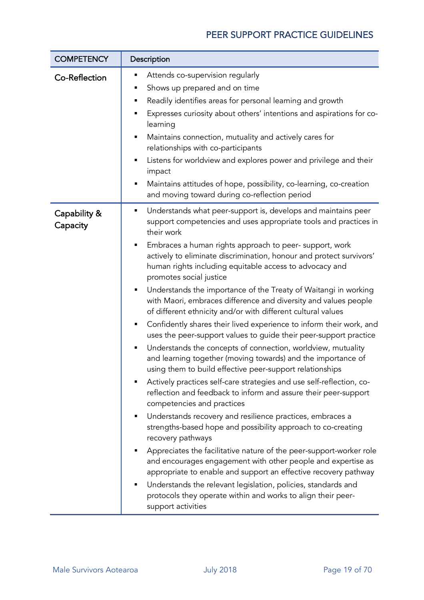| <b>COMPETENCY</b>        | Description                                                                                                                                                                                                                                                                                                                                                                                                                                                                                                                                                                                                                                                                                                                                                                                                                                                                                                                                                                                                                                                                                                                                                                                                                                                                                                                                                                                                                                                                                                                                                                                                                                |
|--------------------------|--------------------------------------------------------------------------------------------------------------------------------------------------------------------------------------------------------------------------------------------------------------------------------------------------------------------------------------------------------------------------------------------------------------------------------------------------------------------------------------------------------------------------------------------------------------------------------------------------------------------------------------------------------------------------------------------------------------------------------------------------------------------------------------------------------------------------------------------------------------------------------------------------------------------------------------------------------------------------------------------------------------------------------------------------------------------------------------------------------------------------------------------------------------------------------------------------------------------------------------------------------------------------------------------------------------------------------------------------------------------------------------------------------------------------------------------------------------------------------------------------------------------------------------------------------------------------------------------------------------------------------------------|
| Co-Reflection            | Attends co-supervision regularly<br>Е<br>Shows up prepared and on time<br>٠<br>Readily identifies areas for personal learning and growth<br>Е<br>Expresses curiosity about others' intentions and aspirations for co-<br>learning<br>Maintains connection, mutuality and actively cares for<br>Е<br>relationships with co-participants<br>Listens for worldview and explores power and privilege and their<br>٠<br>impact<br>Maintains attitudes of hope, possibility, co-learning, co-creation<br>Ξ<br>and moving toward during co-reflection period                                                                                                                                                                                                                                                                                                                                                                                                                                                                                                                                                                                                                                                                                                                                                                                                                                                                                                                                                                                                                                                                                      |
| Capability &<br>Capacity | Understands what peer-support is, develops and maintains peer<br>٠<br>support competencies and uses appropriate tools and practices in<br>their work<br>Embraces a human rights approach to peer- support, work<br>٠<br>actively to eliminate discrimination, honour and protect survivors'<br>human rights including equitable access to advocacy and<br>promotes social justice<br>Understands the importance of the Treaty of Waitangi in working<br>٠<br>with Maori, embraces difference and diversity and values people<br>of different ethnicity and/or with different cultural values<br>Confidently shares their lived experience to inform their work, and<br>٠<br>uses the peer-support values to guide their peer-support practice<br>Understands the concepts of connection, worldview, mutuality<br>٠<br>and learning together (moving towards) and the importance of<br>using them to build effective peer-support relationships<br>Actively practices self-care strategies and use self-reflection, co-<br>reflection and feedback to inform and assure their peer-support<br>competencies and practices<br>Understands recovery and resilience practices, embraces a<br>strengths-based hope and possibility approach to co-creating<br>recovery pathways<br>Appreciates the facilitative nature of the peer-support-worker role<br>and encourages engagement with other people and expertise as<br>appropriate to enable and support an effective recovery pathway<br>Understands the relevant legislation, policies, standards and<br>protocols they operate within and works to align their peer-<br>support activities |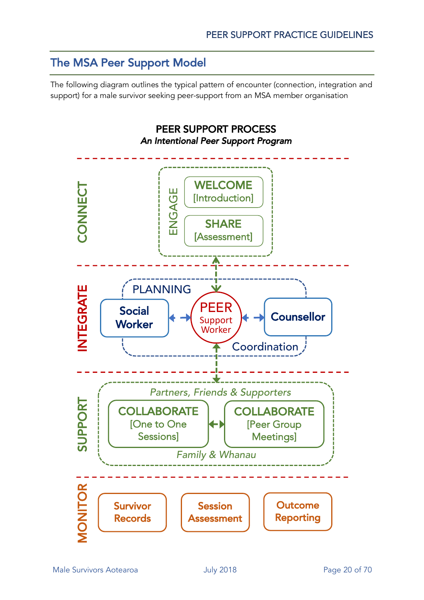# The MSA Peer Support Model

The following diagram outlines the typical pattern of encounter (connection, integration and support) for a male survivor seeking peer-support from an MSA member organisation

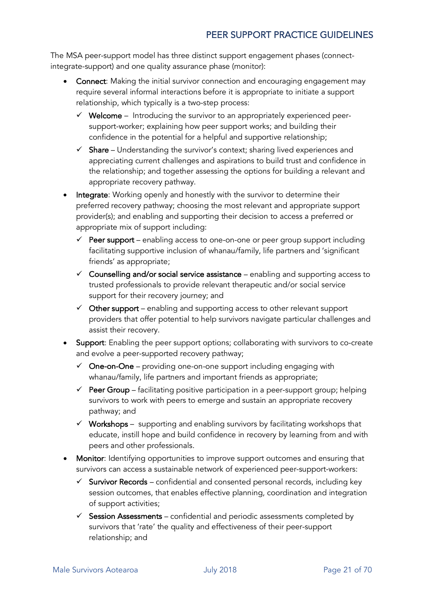The MSA peer-support model has three distinct support engagement phases (connectintegrate-support) and one quality assurance phase (monitor):

- Connect: Making the initial survivor connection and encouraging engagement may require several informal interactions before it is appropriate to initiate a support relationship, which typically is a two-step process:
	- $\checkmark$  Welcome Introducing the survivor to an appropriately experienced peersupport-worker; explaining how peer support works; and building their confidence in the potential for a helpful and supportive relationship;
	- $\checkmark$  Share Understanding the survivor's context; sharing lived experiences and appreciating current challenges and aspirations to build trust and confidence in the relationship; and together assessing the options for building a relevant and appropriate recovery pathway.
- Integrate: Working openly and honestly with the survivor to determine their preferred recovery pathway; choosing the most relevant and appropriate support provider(s); and enabling and supporting their decision to access a preferred or appropriate mix of support including:
	- $\checkmark$  Peer support enabling access to one-on-one or peer group support including facilitating supportive inclusion of whanau/family, life partners and 'significant friends' as appropriate;
	- $\checkmark$  Counselling and/or social service assistance enabling and supporting access to trusted professionals to provide relevant therapeutic and/or social service support for their recovery journey; and
	- $\checkmark$  Other support enabling and supporting access to other relevant support providers that offer potential to help survivors navigate particular challenges and assist their recovery.
- **Support:** Enabling the peer support options; collaborating with survivors to co-create and evolve a peer-supported recovery pathway;
	- $\checkmark$  One-on-One providing one-on-one support including engaging with whanau/family, life partners and important friends as appropriate;
	- $\checkmark$  Peer Group facilitating positive participation in a peer-support group; helping survivors to work with peers to emerge and sustain an appropriate recovery pathway; and
	- $\checkmark$  Workshops supporting and enabling survivors by facilitating workshops that educate, instill hope and build confidence in recovery by learning from and with peers and other professionals.
- **Monitor:** Identifying opportunities to improve support outcomes and ensuring that survivors can access a sustainable network of experienced peer-support-workers:
	- $\checkmark$  Survivor Records confidential and consented personal records, including key session outcomes, that enables effective planning, coordination and integration of support activities;
	- $\checkmark$  Session Assessments confidential and periodic assessments completed by survivors that 'rate' the quality and effectiveness of their peer-support relationship; and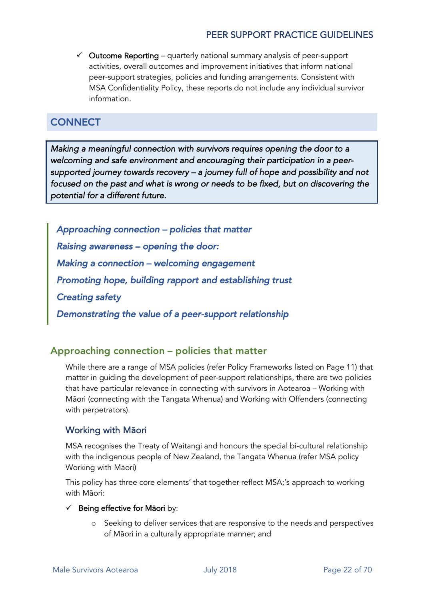$\checkmark$  Outcome Reporting – quarterly national summary analysis of peer-support activities, overall outcomes and improvement initiatives that inform national peer-support strategies, policies and funding arrangements. Consistent with MSA Confidentiality Policy, these reports do not include any individual survivor information.

#### **CONNECT**

*Making a meaningful connection with survivors requires opening the door to a welcoming and safe environment and encouraging their participation in a peersupported journey towards recovery – a journey full of hope and possibility and not focused on the past and what is wrong or needs to be fixed, but on discovering the potential for a different future.* 

*Approaching connection – policies that matter Raising awareness – opening the door: Making a connection – welcoming engagement Promoting hope, building rapport and establishing trust Creating safety Demonstrating the value of a peer-support relationship* 

#### Approaching connection – policies that matter

While there are a range of MSA policies (refer Policy Frameworks listed on Page 11) that matter in guiding the development of peer-support relationships, there are two policies that have particular relevance in connecting with survivors in Aotearoa – Working with Māori (connecting with the Tangata Whenua) and Working with Offenders (connecting with perpetrators).

#### Working with Māori

MSA recognises the Treaty of Waitangi and honours the special bi-cultural relationship with the indigenous people of New Zealand, the Tangata Whenua (refer MSA policy Working with Māori)

This policy has three core elements' that together reflect MSA;'s approach to working with Māori:

#### Being effective for Māori by:

o Seeking to deliver services that are responsive to the needs and perspectives of Māori in a culturally appropriate manner; and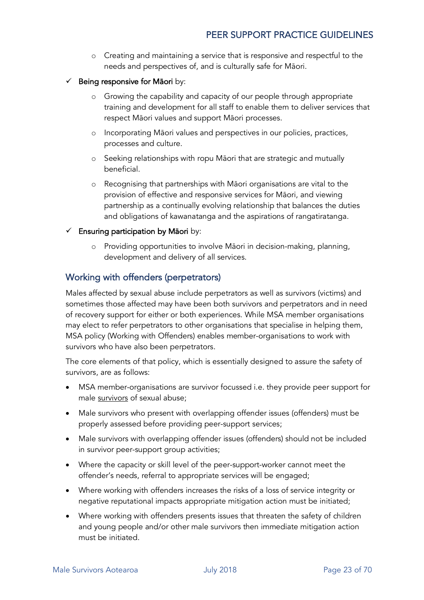- o Creating and maintaining a service that is responsive and respectful to the needs and perspectives of, and is culturally safe for Māori.
- $\checkmark$  Being responsive for Māori by:
	- o Growing the capability and capacity of our people through appropriate training and development for all staff to enable them to deliver services that respect Māori values and support Māori processes.
	- o Incorporating Māori values and perspectives in our policies, practices, processes and culture.
	- o Seeking relationships with ropu Māori that are strategic and mutually beneficial.
	- o Recognising that partnerships with Māori organisations are vital to the provision of effective and responsive services for Māori, and viewing partnership as a continually evolving relationship that balances the duties and obligations of kawanatanga and the aspirations of rangatiratanga.
- $\checkmark$  Ensuring participation by Māori by:
	- o Providing opportunities to involve Māori in decision-making, planning, development and delivery of all services.

#### Working with offenders (perpetrators)

Males affected by sexual abuse include perpetrators as well as survivors (victims) and sometimes those affected may have been both survivors and perpetrators and in need of recovery support for either or both experiences. While MSA member organisations may elect to refer perpetrators to other organisations that specialise in helping them, MSA policy (Working with Offenders) enables member-organisations to work with survivors who have also been perpetrators.

The core elements of that policy, which is essentially designed to assure the safety of survivors, are as follows:

- MSA member-organisations are survivor focussed i.e. they provide peer support for male survivors of sexual abuse;
- Male survivors who present with overlapping offender issues (offenders) must be properly assessed before providing peer-support services;
- Male survivors with overlapping offender issues (offenders) should not be included in survivor peer-support group activities;
- Where the capacity or skill level of the peer-support-worker cannot meet the offender's needs, referral to appropriate services will be engaged;
- Where working with offenders increases the risks of a loss of service integrity or negative reputational impacts appropriate mitigation action must be initiated;
- Where working with offenders presents issues that threaten the safety of children and young people and/or other male survivors then immediate mitigation action must be initiated.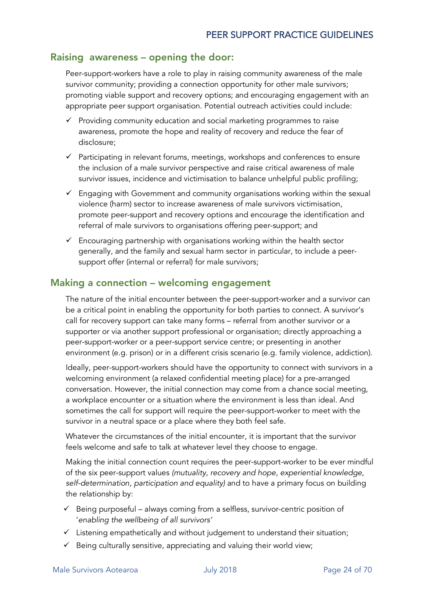#### Raising awareness – opening the door:

Peer-support-workers have a role to play in raising community awareness of the male survivor community; providing a connection opportunity for other male survivors; promoting viable support and recovery options; and encouraging engagement with an appropriate peer support organisation. Potential outreach activities could include:

- $\checkmark$  Providing community education and social marketing programmes to raise awareness, promote the hope and reality of recovery and reduce the fear of disclosure;
- $\checkmark$  Participating in relevant forums, meetings, workshops and conferences to ensure the inclusion of a male survivor perspective and raise critical awareness of male survivor issues, incidence and victimisation to balance unhelpful public profiling;
- $\checkmark$  Engaging with Government and community organisations working within the sexual violence (harm) sector to increase awareness of male survivors victimisation, promote peer-support and recovery options and encourage the identification and referral of male survivors to organisations offering peer-support; and
- $\checkmark$  Encouraging partnership with organisations working within the health sector generally, and the family and sexual harm sector in particular, to include a peersupport offer (internal or referral) for male survivors;

#### Making a connection – welcoming engagement

The nature of the initial encounter between the peer-support-worker and a survivor can be a critical point in enabling the opportunity for both parties to connect. A survivor's call for recovery support can take many forms – referral from another survivor or a supporter or via another support professional or organisation; directly approaching a peer-support-worker or a peer-support service centre; or presenting in another environment (e.g. prison) or in a different crisis scenario (e.g. family violence, addiction).

Ideally, peer-support-workers should have the opportunity to connect with survivors in a welcoming environment (a relaxed confidential meeting place) for a pre-arranged conversation. However, the initial connection may come from a chance social meeting, a workplace encounter or a situation where the environment is less than ideal. And sometimes the call for support will require the peer-support-worker to meet with the survivor in a neutral space or a place where they both feel safe.

Whatever the circumstances of the initial encounter, it is important that the survivor feels welcome and safe to talk at whatever level they choose to engage.

Making the initial connection count requires the peer-support-worker to be ever mindful of the six peer-support values *(mutuality, recovery and hope, experiential knowledge, self-determination, participation and equality)* and to have a primary focus on building the relationship by:

- $\checkmark$  Being purposeful always coming from a selfless, survivor-centric position of '*enabling the wellbeing of all survivors'*
- $\checkmark$  Listening empathetically and without judgement to understand their situation;
- $\checkmark$  Being culturally sensitive, appreciating and valuing their world view;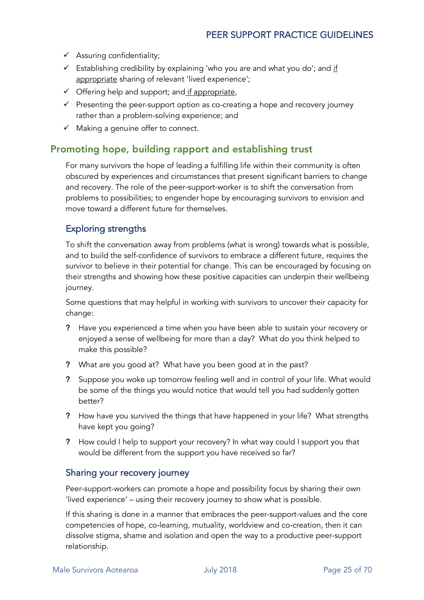- $\checkmark$  Assuring confidentiality;
- $\checkmark$  Establishing credibility by explaining 'who you are and what you do'; and if appropriate sharing of relevant 'lived experience';
- $\checkmark$  Offering help and support; and if appropriate,
- $\checkmark$  Presenting the peer-support option as co-creating a hope and recovery journey rather than a problem-solving experience; and
- $\checkmark$  Making a genuine offer to connect.

#### Promoting hope, building rapport and establishing trust

For many survivors the hope of leading a fulfilling life within their community is often obscured by experiences and circumstances that present significant barriers to change and recovery. The role of the peer-support-worker is to shift the conversation from problems to possibilities; to engender hope by encouraging survivors to envision and move toward a different future for themselves.

#### Exploring strengths

To shift the conversation away from problems (what is wrong) towards what is possible, and to build the self-confidence of survivors to embrace a different future, requires the survivor to believe in their potential for change. This can be encouraged by focusing on their strengths and showing how these positive capacities can underpin their wellbeing journey.

Some questions that may helpful in working with survivors to uncover their capacity for change:

- ? Have you experienced a time when you have been able to sustain your recovery or enjoyed a sense of wellbeing for more than a day? What do you think helped to make this possible?
- ? What are you good at? What have you been good at in the past?
- ? Suppose you woke up tomorrow feeling well and in control of your life. What would be some of the things you would notice that would tell you had suddenly gotten better?
- ? How have you survived the things that have happened in your life? What strengths have kept you going?
- ? How could I help to support your recovery? In what way could I support you that would be different from the support you have received so far?

#### Sharing your recovery journey

Peer-support-workers can promote a hope and possibility focus by sharing their own 'lived experience' – using their recovery journey to show what is possible.

If this sharing is done in a manner that embraces the peer-support-values and the core competencies of hope, co-learning, mutuality, worldview and co-creation, then it can dissolve stigma, shame and isolation and open the way to a productive peer-support relationship.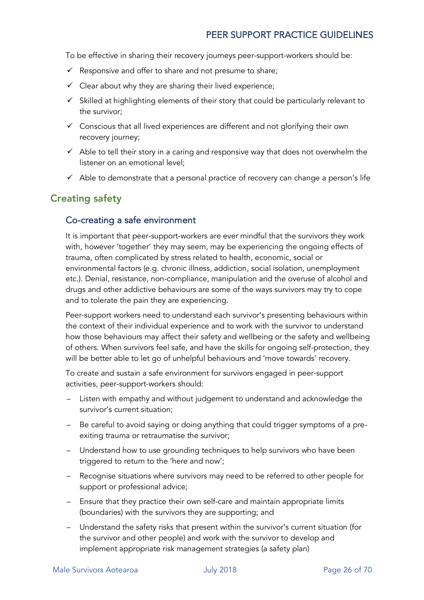To be effective in sharing their recovery journeys peer-support-workers should be:

- $\checkmark$  Responsive and offer to share and not presume to share;
- $\checkmark$  Clear about why they are sharing their lived experience;
- $\checkmark$  Skilled at highlighting elements of their story that could be particularly relevant to the survivor;
- $\checkmark$  Conscious that all lived experiences are different and not glorifying their own recovery journey;
- $\checkmark$  Able to tell their story in a caring and responsive way that does not overwhelm the listener on an emotional level;
- $\checkmark$  Able to demonstrate that a personal practice of recovery can change a person's life

#### Creating safety

#### Co-creating a safe environment

It is important that peer-support-workers are ever mindful that the survivors they work with, however 'together' they may seem, may be experiencing the ongoing effects of trauma, often complicated by stress related to health, economic, social or environmental factors (e.g. chronic illness, addiction, social isolation, unemployment etc.). Denial, resistance, non-compliance, manipulation and the overuse of alcohol and drugs and other addictive behaviours are some of the ways survivors may try to cope and to tolerate the pain they are experiencing.

Peer-support workers need to understand each survivor's presenting behaviours within the context of their individual experience and to work with the survivor to understand how those behaviours may affect their safety and wellbeing or the safety and wellbeing of others. When survivors feel safe, and have the skills for ongoing self-protection, they will be better able to let go of unhelpful behaviours and 'move towards' recovery.

To create and sustain a safe environment for survivors engaged in peer-support activities, peer-support-workers should:

- Listen with empathy and without judgement to understand and acknowledge the survivor's current situation;
- Be careful to avoid saying or doing anything that could trigger symptoms of a preexiting trauma or retraumatise the survivor;
- Understand how to use grounding techniques to help survivors who have been triggered to return to the 'here and now';
- Recognise situations where survivors may need to be referred to other people for support or professional advice;
- Ensure that they practice their own self-care and maintain appropriate limits (boundaries) with the survivors they are supporting; and
- Understand the safety risks that present within the survivor's current situation (for the survivor and other people) and work with the survivor to develop and implement appropriate risk management strategies (a safety plan)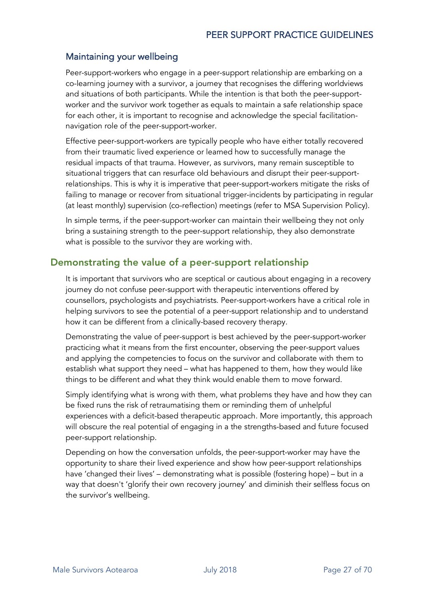#### Maintaining your wellbeing

Peer-support-workers who engage in a peer-support relationship are embarking on a co-learning journey with a survivor, a journey that recognises the differing worldviews and situations of both participants. While the intention is that both the peer-supportworker and the survivor work together as equals to maintain a safe relationship space for each other, it is important to recognise and acknowledge the special facilitationnavigation role of the peer-support-worker.

Effective peer-support-workers are typically people who have either totally recovered from their traumatic lived experience or learned how to successfully manage the residual impacts of that trauma. However, as survivors, many remain susceptible to situational triggers that can resurface old behaviours and disrupt their peer-supportrelationships. This is why it is imperative that peer-support-workers mitigate the risks of failing to manage or recover from situational trigger-incidents by participating in regular (at least monthly) supervision (co-reflection) meetings (refer to MSA Supervision Policy).

In simple terms, if the peer-support-worker can maintain their wellbeing they not only bring a sustaining strength to the peer-support relationship, they also demonstrate what is possible to the survivor they are working with.

#### Demonstrating the value of a peer-support relationship

It is important that survivors who are sceptical or cautious about engaging in a recovery journey do not confuse peer-support with therapeutic interventions offered by counsellors, psychologists and psychiatrists. Peer-support-workers have a critical role in helping survivors to see the potential of a peer-support relationship and to understand how it can be different from a clinically-based recovery therapy.

Demonstrating the value of peer-support is best achieved by the peer-support-worker practicing what it means from the first encounter, observing the peer-support values and applying the competencies to focus on the survivor and collaborate with them to establish what support they need – what has happened to them, how they would like things to be different and what they think would enable them to move forward.

Simply identifying what is wrong with them, what problems they have and how they can be fixed runs the risk of retraumatising them or reminding them of unhelpful experiences with a deficit-based therapeutic approach. More importantly, this approach will obscure the real potential of engaging in a the strengths-based and future focused peer-support relationship.

Depending on how the conversation unfolds, the peer-support-worker may have the opportunity to share their lived experience and show how peer-support relationships have 'changed their lives' – demonstrating what is possible (fostering hope) – but in a way that doesn't 'glorify their own recovery journey' and diminish their selfless focus on the survivor's wellbeing.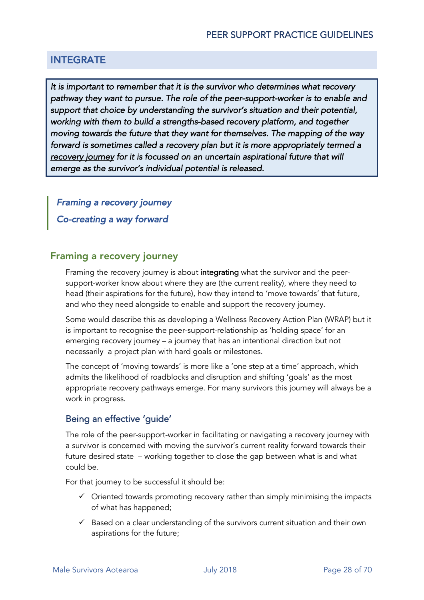#### INTEGRATE

*It is important to remember that it is the survivor who determines what recovery pathway they want to pursue. The role of the peer-support-worker is to enable and support that choice by understanding the survivor's situation and their potential, working with them to build a strengths-based recovery platform, and together moving towards the future that they want for themselves. The mapping of the way forward is sometimes called a recovery plan but it is more appropriately termed a recovery journey for it is focussed on an uncertain aspirational future that will emerge as the survivor's individual potential is released.* 

*Framing a recovery journey* 

*Co-creating a way forward* 

#### Framing a recovery journey

Framing the recovery journey is about integrating what the survivor and the peersupport-worker know about where they are (the current reality), where they need to head (their aspirations for the future), how they intend to 'move towards' that future, and who they need alongside to enable and support the recovery journey.

Some would describe this as developing a Wellness Recovery Action Plan (WRAP) but it is important to recognise the peer-support-relationship as 'holding space' for an emerging recovery journey – a journey that has an intentional direction but not necessarily a project plan with hard goals or milestones.

The concept of 'moving towards' is more like a 'one step at a time' approach, which admits the likelihood of roadblocks and disruption and shifting 'goals' as the most appropriate recovery pathways emerge. For many survivors this journey will always be a work in progress.

#### Being an effective 'guide'

The role of the peer-support-worker in facilitating or navigating a recovery journey with a survivor is concerned with moving the survivor's current reality forward towards their future desired state – working together to close the gap between what is and what could be.

For that journey to be successful it should be:

- $\checkmark$  Oriented towards promoting recovery rather than simply minimising the impacts of what has happened;
- $\checkmark$  Based on a clear understanding of the survivors current situation and their own aspirations for the future;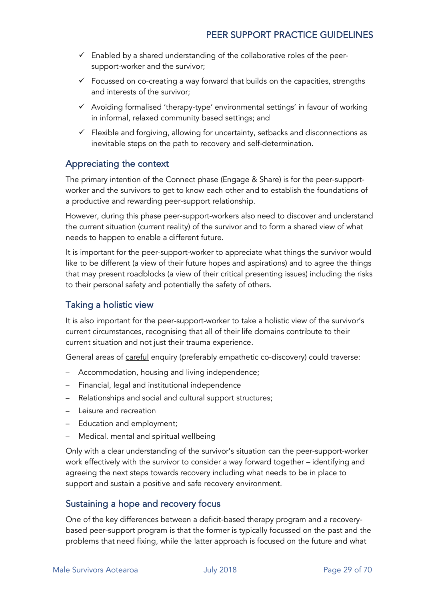- $\checkmark$  Enabled by a shared understanding of the collaborative roles of the peersupport-worker and the survivor;
- $\checkmark$  Focussed on co-creating a way forward that builds on the capacities, strengths and interests of the survivor;
- $\checkmark$  Avoiding formalised 'therapy-type' environmental settings' in favour of working in informal, relaxed community based settings; and
- $\checkmark$  Flexible and forgiving, allowing for uncertainty, setbacks and disconnections as inevitable steps on the path to recovery and self-determination.

#### Appreciating the context

The primary intention of the Connect phase (Engage & Share) is for the peer-supportworker and the survivors to get to know each other and to establish the foundations of a productive and rewarding peer-support relationship.

However, during this phase peer-support-workers also need to discover and understand the current situation (current reality) of the survivor and to form a shared view of what needs to happen to enable a different future.

It is important for the peer-support-worker to appreciate what things the survivor would like to be different (a view of their future hopes and aspirations) and to agree the things that may present roadblocks (a view of their critical presenting issues) including the risks to their personal safety and potentially the safety of others.

#### Taking a holistic view

It is also important for the peer-support-worker to take a holistic view of the survivor's current circumstances, recognising that all of their life domains contribute to their current situation and not just their trauma experience.

General areas of careful enquiry (preferably empathetic co-discovery) could traverse:

- Accommodation, housing and living independence;
- Financial, legal and institutional independence
- Relationships and social and cultural support structures;
- Leisure and recreation
- Education and employment;
- Medical. mental and spiritual wellbeing

Only with a clear understanding of the survivor's situation can the peer-support-worker work effectively with the survivor to consider a way forward together – identifying and agreeing the next steps towards recovery including what needs to be in place to support and sustain a positive and safe recovery environment.

#### Sustaining a hope and recovery focus

One of the key differences between a deficit-based therapy program and a recoverybased peer-support program is that the former is typically focussed on the past and the problems that need fixing, while the latter approach is focused on the future and what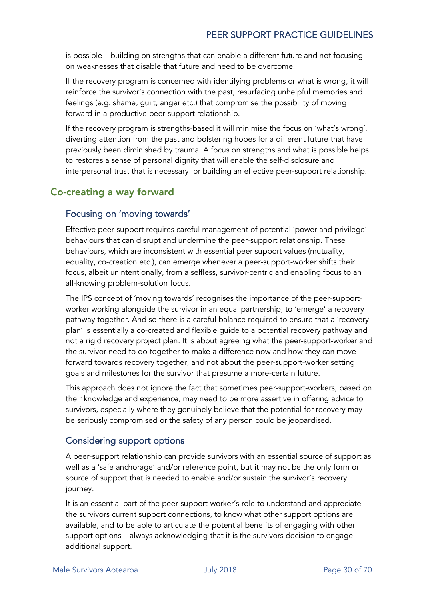is possible – building on strengths that can enable a different future and not focusing on weaknesses that disable that future and need to be overcome.

If the recovery program is concerned with identifying problems or what is wrong, it will reinforce the survivor's connection with the past, resurfacing unhelpful memories and feelings (e.g. shame, guilt, anger etc.) that compromise the possibility of moving forward in a productive peer-support relationship.

If the recovery program is strengths-based it will minimise the focus on 'what's wrong', diverting attention from the past and bolstering hopes for a different future that have previously been diminished by trauma. A focus on strengths and what is possible helps to restores a sense of personal dignity that will enable the self-disclosure and interpersonal trust that is necessary for building an effective peer-support relationship.

#### Co-creating a way forward

#### Focusing on 'moving towards'

Effective peer-support requires careful management of potential 'power and privilege' behaviours that can disrupt and undermine the peer-support relationship. These behaviours, which are inconsistent with essential peer support values (mutuality, equality, co-creation etc.), can emerge whenever a peer-support-worker shifts their focus, albeit unintentionally, from a selfless, survivor-centric and enabling focus to an all-knowing problem-solution focus.

The IPS concept of 'moving towards' recognises the importance of the peer-supportworker working alongside the survivor in an equal partnership, to 'emerge' a recovery pathway together. And so there is a careful balance required to ensure that a 'recovery plan' is essentially a co-created and flexible guide to a potential recovery pathway and not a rigid recovery project plan. It is about agreeing what the peer-support-worker and the survivor need to do together to make a difference now and how they can move forward towards recovery together, and not about the peer-support-worker setting goals and milestones for the survivor that presume a more-certain future.

This approach does not ignore the fact that sometimes peer-support-workers, based on their knowledge and experience, may need to be more assertive in offering advice to survivors, especially where they genuinely believe that the potential for recovery may be seriously compromised or the safety of any person could be jeopardised.

#### Considering support options

A peer-support relationship can provide survivors with an essential source of support as well as a 'safe anchorage' and/or reference point, but it may not be the only form or source of support that is needed to enable and/or sustain the survivor's recovery journey.

It is an essential part of the peer-support-worker's role to understand and appreciate the survivors current support connections, to know what other support options are available, and to be able to articulate the potential benefits of engaging with other support options – always acknowledging that it is the survivors decision to engage additional support.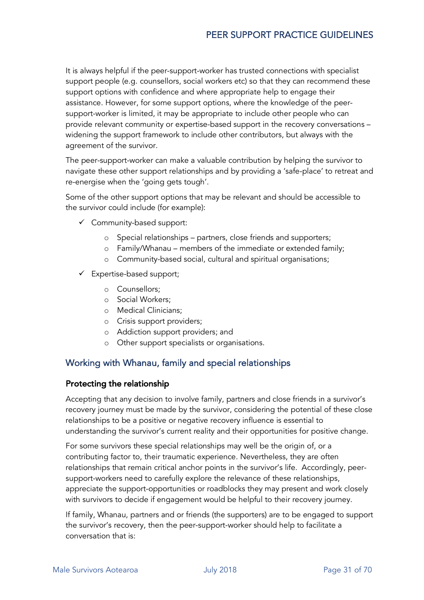It is always helpful if the peer-support-worker has trusted connections with specialist support people (e.g. counsellors, social workers etc) so that they can recommend these support options with confidence and where appropriate help to engage their assistance. However, for some support options, where the knowledge of the peersupport-worker is limited, it may be appropriate to include other people who can provide relevant community or expertise-based support in the recovery conversations – widening the support framework to include other contributors, but always with the agreement of the survivor.

The peer-support-worker can make a valuable contribution by helping the survivor to navigate these other support relationships and by providing a 'safe-place' to retreat and re-energise when the 'going gets tough'.

Some of the other support options that may be relevant and should be accessible to the survivor could include (for example):

- $\checkmark$  Community-based support:
	- o Special relationships partners, close friends and supporters;
	- o Family/Whanau members of the immediate or extended family;
	- o Community-based social, cultural and spiritual organisations;
- $\checkmark$  Expertise-based support;
	- o Counsellors;
	- o Social Workers;
	- o Medical Clinicians;
	- o Crisis support providers;
	- o Addiction support providers; and
	- o Other support specialists or organisations.

#### Working with Whanau, family and special relationships

#### Protecting the relationship

Accepting that any decision to involve family, partners and close friends in a survivor's recovery journey must be made by the survivor, considering the potential of these close relationships to be a positive or negative recovery influence is essential to understanding the survivor's current reality and their opportunities for positive change.

For some survivors these special relationships may well be the origin of, or a contributing factor to, their traumatic experience. Nevertheless, they are often relationships that remain critical anchor points in the survivor's life. Accordingly, peersupport-workers need to carefully explore the relevance of these relationships, appreciate the support-opportunities or roadblocks they may present and work closely with survivors to decide if engagement would be helpful to their recovery journey.

If family, Whanau, partners and or friends (the supporters) are to be engaged to support the survivor's recovery, then the peer-support-worker should help to facilitate a conversation that is: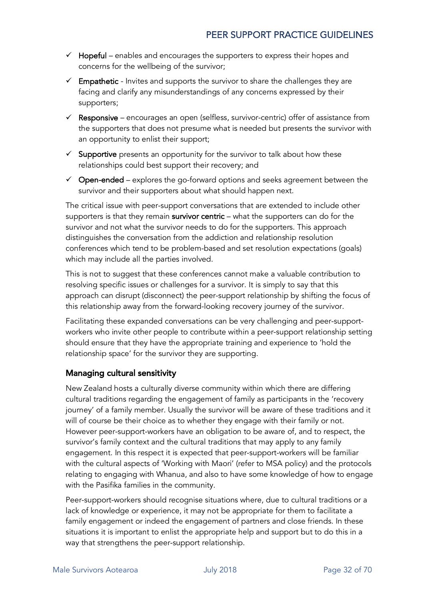- $\checkmark$  Hopeful enables and encourages the supporters to express their hopes and concerns for the wellbeing of the survivor;
- $\checkmark$  Empathetic Invites and supports the survivor to share the challenges they are facing and clarify any misunderstandings of any concerns expressed by their supporters;
- Responsive encourages an open (selfless, survivor-centric) offer of assistance from the supporters that does not presume what is needed but presents the survivor with an opportunity to enlist their support;
- $\checkmark$  Supportive presents an opportunity for the survivor to talk about how these relationships could best support their recovery; and
- $\checkmark$  Open-ended explores the go-forward options and seeks agreement between the survivor and their supporters about what should happen next.

The critical issue with peer-support conversations that are extended to include other supporters is that they remain survivor centric – what the supporters can do for the survivor and not what the survivor needs to do for the supporters. This approach distinguishes the conversation from the addiction and relationship resolution conferences which tend to be problem-based and set resolution expectations (goals) which may include all the parties involved.

This is not to suggest that these conferences cannot make a valuable contribution to resolving specific issues or challenges for a survivor. It is simply to say that this approach can disrupt (disconnect) the peer-support relationship by shifting the focus of this relationship away from the forward-looking recovery journey of the survivor.

Facilitating these expanded conversations can be very challenging and peer-supportworkers who invite other people to contribute within a peer-support relationship setting should ensure that they have the appropriate training and experience to 'hold the relationship space' for the survivor they are supporting.

#### Managing cultural sensitivity

New Zealand hosts a culturally diverse community within which there are differing cultural traditions regarding the engagement of family as participants in the 'recovery journey' of a family member. Usually the survivor will be aware of these traditions and it will of course be their choice as to whether they engage with their family or not. However peer-support-workers have an obligation to be aware of, and to respect, the survivor's family context and the cultural traditions that may apply to any family engagement. In this respect it is expected that peer-support-workers will be familiar with the cultural aspects of 'Working with Maori' (refer to MSA policy) and the protocols relating to engaging with Whanua, and also to have some knowledge of how to engage with the Pasifika families in the community.

Peer-support-workers should recognise situations where, due to cultural traditions or a lack of knowledge or experience, it may not be appropriate for them to facilitate a family engagement or indeed the engagement of partners and close friends. In these situations it is important to enlist the appropriate help and support but to do this in a way that strengthens the peer-support relationship.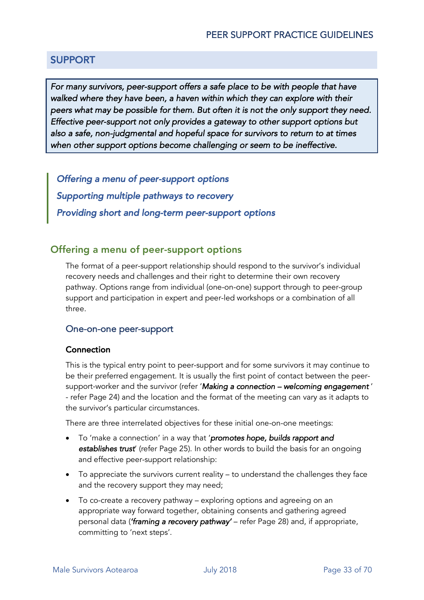#### SUPPORT

For many survivors, peer-support offers a safe place to be with people that have *walked where they have been, a haven within which they can explore with their peers what may be possible for them. But often it is not the only support they need. Effective peer-support not only provides a gateway to other support options but also a safe, non-judgmental and hopeful space for survivors to return to at times when other support options become challenging or seem to be ineffective.* 

*Offering a menu of peer-support options Supporting multiple pathways to recovery Providing short and long-term peer-support options* 

#### Offering a menu of peer-support options

The format of a peer-support relationship should respond to the survivor's individual recovery needs and challenges and their right to determine their own recovery pathway. Options range from individual (one-on-one) support through to peer-group support and participation in expert and peer-led workshops or a combination of all three.

#### One-on-one peer-support

#### Connection

This is the typical entry point to peer-support and for some survivors it may continue to be their preferred engagement. It is usually the first point of contact between the peersupport-worker and the survivor (refer '*Making a connection – welcoming engagement* ' - refer Page 24) and the location and the format of the meeting can vary as it adapts to the survivor's particular circumstances.

There are three interrelated objectives for these initial one-on-one meetings:

- To 'make a connection' in a way that '*promotes hope, builds rapport and establishes trust*' (refer Page 25). In other words to build the basis for an ongoing and effective peer-support relationship:
- To appreciate the survivors current reality to understand the challenges they face and the recovery support they may need;
- To co-create a recovery pathway exploring options and agreeing on an appropriate way forward together, obtaining consents and gathering agreed personal data (*'framing a recovery pathway'* – refer Page 28) and, if appropriate, committing to 'next steps'.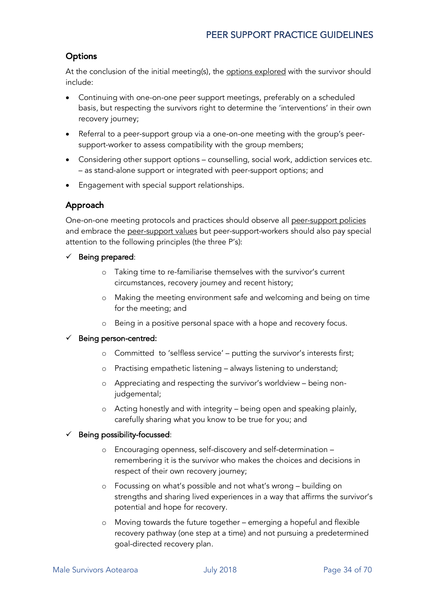#### **Options**

At the conclusion of the initial meeting(s), the **options explored** with the survivor should include:

- Continuing with one-on-one peer support meetings, preferably on a scheduled basis, but respecting the survivors right to determine the 'interventions' in their own recovery journey;
- Referral to a peer-support group via a one-on-one meeting with the group's peersupport-worker to assess compatibility with the group members;
- Considering other support options counselling, social work, addiction services etc. – as stand-alone support or integrated with peer-support options; and
- Engagement with special support relationships.

#### Approach

One-on-one meeting protocols and practices should observe all peer-support policies and embrace the peer-support values but peer-support-workers should also pay special attention to the following principles (the three P's):

- $\checkmark$  Being prepared:
	- o Taking time to re-familiarise themselves with the survivor's current circumstances, recovery journey and recent history;
	- o Making the meeting environment safe and welcoming and being on time for the meeting; and
	- o Being in a positive personal space with a hope and recovery focus.

#### Being person-centred:

- o Committed to 'selfless service' putting the survivor's interests first;
- o Practising empathetic listening always listening to understand;
- o Appreciating and respecting the survivor's worldview being nonjudgemental;
- o Acting honestly and with integrity being open and speaking plainly, carefully sharing what you know to be true for you; and

#### Being possibility-focussed:

- o Encouraging openness, self-discovery and self-determination remembering it is the survivor who makes the choices and decisions in respect of their own recovery journey;
- o Focussing on what's possible and not what's wrong building on strengths and sharing lived experiences in a way that affirms the survivor's potential and hope for recovery.
- o Moving towards the future together emerging a hopeful and flexible recovery pathway (one step at a time) and not pursuing a predetermined goal-directed recovery plan.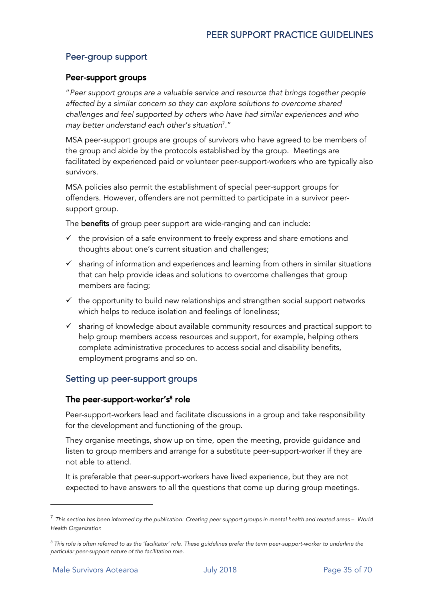#### Peer-group support

#### Peer-support groups

"*Peer support groups are a valuable service and resource that brings together people affected by a similar concern so they can explore solutions to overcome shared challenges and feel supported by others who have had similar experiences and who may better understand each other's situation*<sup>7</sup> ."

MSA peer-support groups are groups of survivors who have agreed to be members of the group and abide by the protocols established by the group. Meetings are facilitated by experienced paid or volunteer peer-support-workers who are typically also survivors.

MSA policies also permit the establishment of special peer-support groups for offenders. However, offenders are not permitted to participate in a survivor peersupport group.

The benefits of group peer support are wide-ranging and can include:

- $\checkmark$  the provision of a safe environment to freely express and share emotions and thoughts about one's current situation and challenges;
- $\checkmark$  sharing of information and experiences and learning from others in similar situations that can help provide ideas and solutions to overcome challenges that group members are facing;
- $\checkmark$  the opportunity to build new relationships and strengthen social support networks which helps to reduce isolation and feelings of loneliness;
- $\checkmark$  sharing of knowledge about available community resources and practical support to help group members access resources and support, for example, helping others complete administrative procedures to access social and disability benefits, employment programs and so on.

#### Setting up peer-support groups

#### The peer-support-worker's<sup>8</sup> role

Peer-support-workers lead and facilitate discussions in a group and take responsibility for the development and functioning of the group.

They organise meetings, show up on time, open the meeting, provide guidance and listen to group members and arrange for a substitute peer-support-worker if they are not able to attend.

It is preferable that peer-support-workers have lived experience, but they are not expected to have answers to all the questions that come up during group meetings.

l

<sup>7</sup> *This section has been informed by the publication: Creating peer support groups in mental health and related areas – World Health Organization*

*<sup>8</sup> This role is often referred to as the 'facilitator' role. These guidelines prefer the term peer-support-worker to underline the particular peer-support nature of the facilitation role.*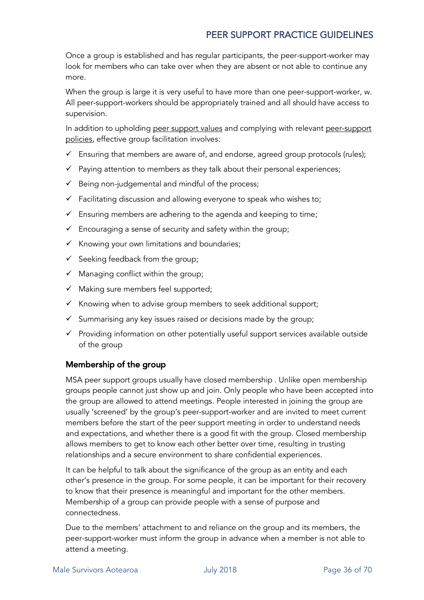Once a group is established and has regular participants, the peer-support-worker may look for members who can take over when they are absent or not able to continue any more.

When the group is large it is very useful to have more than one peer-support-worker, w. All peer-support-workers should be appropriately trained and all should have access to supervision.

In addition to upholding peer support values and complying with relevant peer-support policies, effective group facilitation involves:

- $\checkmark$  Ensuring that members are aware of, and endorse, agreed group protocols (rules);
- $\checkmark$  Paying attention to members as they talk about their personal experiences;
- $\checkmark$  Being non-judgemental and mindful of the process;
- $\checkmark$  Facilitating discussion and allowing everyone to speak who wishes to;
- $\checkmark$  Ensuring members are adhering to the agenda and keeping to time;
- $\checkmark$  Encouraging a sense of security and safety within the group;
- $\checkmark$  Knowing your own limitations and boundaries;
- $\checkmark$  Seeking feedback from the group;
- $\checkmark$  Managing conflict within the group;
- $\checkmark$  Making sure members feel supported;
- $\checkmark$  Knowing when to advise group members to seek additional support;
- $\checkmark$  Summarising any key issues raised or decisions made by the group;
- $\checkmark$  Providing information on other potentially useful support services available outside of the group

#### Membership of the group

MSA peer support groups usually have closed membership . Unlike open membership groups people cannot just show up and join. Only people who have been accepted into the group are allowed to attend meetings. People interested in joining the group are usually 'screened' by the group's peer-support-worker and are invited to meet current members before the start of the peer support meeting in order to understand needs and expectations, and whether there is a good fit with the group. Closed membership allows members to get to know each other better over time, resulting in trusting relationships and a secure environment to share confidential experiences.

It can be helpful to talk about the significance of the group as an entity and each other's presence in the group. For some people, it can be important for their recovery to know that their presence is meaningful and important for the other members. Membership of a group can provide people with a sense of purpose and connectedness.

Due to the members' attachment to and reliance on the group and its members, the peer-support-worker must inform the group in advance when a member is not able to attend a meeting.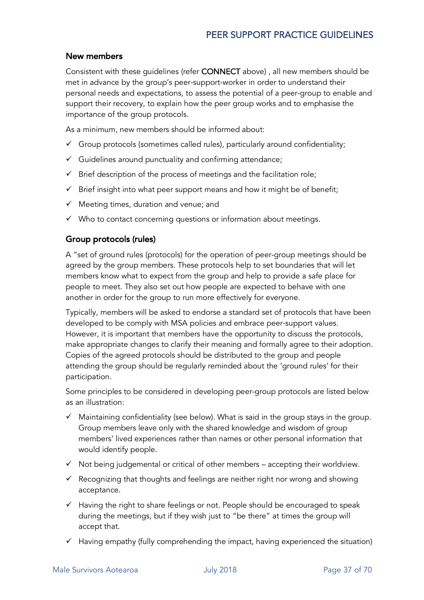#### New members

Consistent with these guidelines (refer CONNECT above) , all new members should be met in advance by the group's peer-support-worker in order to understand their personal needs and expectations, to assess the potential of a peer-group to enable and support their recovery, to explain how the peer group works and to emphasise the importance of the group protocols.

As a minimum, new members should be informed about:

- $\checkmark$  Group protocols (sometimes called rules), particularly around confidentiality;
- $\checkmark$  Guidelines around punctuality and confirming attendance;
- $\checkmark$  Brief description of the process of meetings and the facilitation role;
- $\checkmark$  Brief insight into what peer support means and how it might be of benefit;
- $\checkmark$  Meeting times, duration and venue; and
- $\checkmark$  Who to contact concerning questions or information about meetings.

#### Group protocols (rules)

A "set of ground rules (protocols) for the operation of peer-group meetings should be agreed by the group members. These protocols help to set boundaries that will let members know what to expect from the group and help to provide a safe place for people to meet. They also set out how people are expected to behave with one another in order for the group to run more effectively for everyone.

Typically, members will be asked to endorse a standard set of protocols that have been developed to be comply with MSA policies and embrace peer-support values. However, it is important that members have the opportunity to discuss the protocols, make appropriate changes to clarify their meaning and formally agree to their adoption. Copies of the agreed protocols should be distributed to the group and people attending the group should be regularly reminded about the 'ground rules' for their participation.

Some principles to be considered in developing peer-group protocols are listed below as an illustration:

- $\checkmark$  Maintaining confidentiality (see below). What is said in the group stays in the group. Group members leave only with the shared knowledge and wisdom of group members' lived experiences rather than names or other personal information that would identify people.
- $\checkmark$  Not being judgemental or critical of other members accepting their worldview.
- $\checkmark$  Recognizing that thoughts and feelings are neither right nor wrong and showing acceptance.
- $\checkmark$  Having the right to share feelings or not. People should be encouraged to speak during the meetings, but if they wish just to "be there" at times the group will accept that.
- $\checkmark$  Having empathy (fully comprehending the impact, having experienced the situation)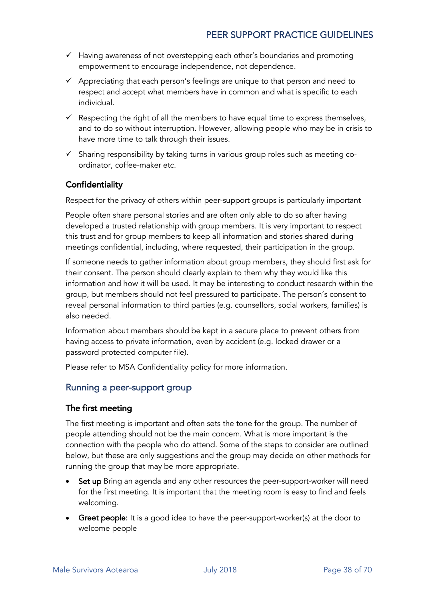- $\checkmark$  Having awareness of not overstepping each other's boundaries and promoting empowerment to encourage independence, not dependence.
- $\checkmark$  Appreciating that each person's feelings are unique to that person and need to respect and accept what members have in common and what is specific to each individual.
- $\checkmark$  Respecting the right of all the members to have equal time to express themselves, and to do so without interruption. However, allowing people who may be in crisis to have more time to talk through their issues.
- $\checkmark$  Sharing responsibility by taking turns in various group roles such as meeting coordinator, coffee-maker etc.

#### **Confidentiality**

Respect for the privacy of others within peer-support groups is particularly important

People often share personal stories and are often only able to do so after having developed a trusted relationship with group members. It is very important to respect this trust and for group members to keep all information and stories shared during meetings confidential, including, where requested, their participation in the group.

If someone needs to gather information about group members, they should first ask for their consent. The person should clearly explain to them why they would like this information and how it will be used. It may be interesting to conduct research within the group, but members should not feel pressured to participate. The person's consent to reveal personal information to third parties (e.g. counsellors, social workers, families) is also needed.

Information about members should be kept in a secure place to prevent others from having access to private information, even by accident (e.g. locked drawer or a password protected computer file).

Please refer to MSA Confidentiality policy for more information.

#### Running a peer-support group

#### The first meeting

The first meeting is important and often sets the tone for the group. The number of people attending should not be the main concern. What is more important is the connection with the people who do attend. Some of the steps to consider are outlined below, but these are only suggestions and the group may decide on other methods for running the group that may be more appropriate.

- Set up Bring an agenda and any other resources the peer-support-worker will need for the first meeting. It is important that the meeting room is easy to find and feels welcoming.
- Greet people: It is a good idea to have the peer-support-worker(s) at the door to welcome people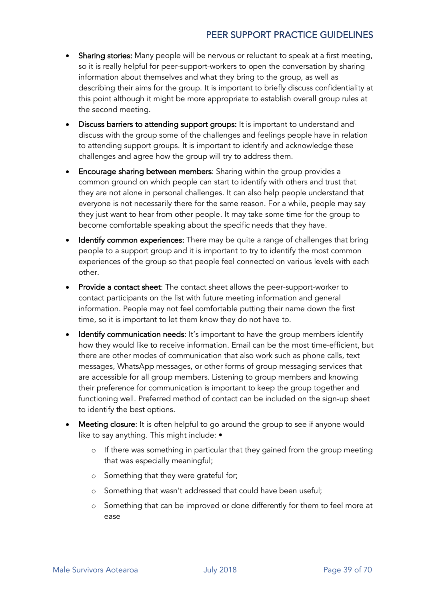- Sharing stories: Many people will be nervous or reluctant to speak at a first meeting, so it is really helpful for peer-support-workers to open the conversation by sharing information about themselves and what they bring to the group, as well as describing their aims for the group. It is important to briefly discuss confidentiality at this point although it might be more appropriate to establish overall group rules at the second meeting.
- Discuss barriers to attending support groups: It is important to understand and discuss with the group some of the challenges and feelings people have in relation to attending support groups. It is important to identify and acknowledge these challenges and agree how the group will try to address them.
- Encourage sharing between members: Sharing within the group provides a common ground on which people can start to identify with others and trust that they are not alone in personal challenges. It can also help people understand that everyone is not necessarily there for the same reason. For a while, people may say they just want to hear from other people. It may take some time for the group to become comfortable speaking about the specific needs that they have.
- Identify common experiences: There may be quite a range of challenges that bring people to a support group and it is important to try to identify the most common experiences of the group so that people feel connected on various levels with each other.
- Provide a contact sheet: The contact sheet allows the peer-support-worker to contact participants on the list with future meeting information and general information. People may not feel comfortable putting their name down the first time, so it is important to let them know they do not have to.
- Identify communication needs: It's important to have the group members identify how they would like to receive information. Email can be the most time-efficient, but there are other modes of communication that also work such as phone calls, text messages, WhatsApp messages, or other forms of group messaging services that are accessible for all group members. Listening to group members and knowing their preference for communication is important to keep the group together and functioning well. Preferred method of contact can be included on the sign-up sheet to identify the best options.
- Meeting closure: It is often helpful to go around the group to see if anyone would like to say anything. This might include: •
	- $\circ$  If there was something in particular that they gained from the group meeting that was especially meaningful;
	- o Something that they were grateful for;
	- o Something that wasn't addressed that could have been useful;
	- o Something that can be improved or done differently for them to feel more at ease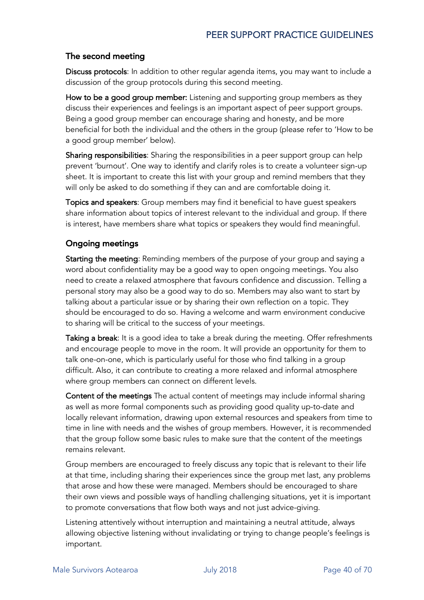#### The second meeting

Discuss protocols: In addition to other regular agenda items, you may want to include a discussion of the group protocols during this second meeting.

How to be a good group member: Listening and supporting group members as they discuss their experiences and feelings is an important aspect of peer support groups. Being a good group member can encourage sharing and honesty, and be more beneficial for both the individual and the others in the group (please refer to 'How to be a good group member' below).

Sharing responsibilities: Sharing the responsibilities in a peer support group can help prevent 'burnout'. One way to identify and clarify roles is to create a volunteer sign-up sheet. It is important to create this list with your group and remind members that they will only be asked to do something if they can and are comfortable doing it.

Topics and speakers: Group members may find it beneficial to have guest speakers share information about topics of interest relevant to the individual and group. If there is interest, have members share what topics or speakers they would find meaningful.

#### Ongoing meetings

Starting the meeting: Reminding members of the purpose of your group and saying a word about confidentiality may be a good way to open ongoing meetings. You also need to create a relaxed atmosphere that favours confidence and discussion. Telling a personal story may also be a good way to do so. Members may also want to start by talking about a particular issue or by sharing their own reflection on a topic. They should be encouraged to do so. Having a welcome and warm environment conducive to sharing will be critical to the success of your meetings.

Taking a break: It is a good idea to take a break during the meeting. Offer refreshments and encourage people to move in the room. It will provide an opportunity for them to talk one-on-one, which is particularly useful for those who find talking in a group difficult. Also, it can contribute to creating a more relaxed and informal atmosphere where group members can connect on different levels.

Content of the meetings The actual content of meetings may include informal sharing as well as more formal components such as providing good quality up-to-date and locally relevant information, drawing upon external resources and speakers from time to time in line with needs and the wishes of group members. However, it is recommended that the group follow some basic rules to make sure that the content of the meetings remains relevant.

Group members are encouraged to freely discuss any topic that is relevant to their life at that time, including sharing their experiences since the group met last, any problems that arose and how these were managed. Members should be encouraged to share their own views and possible ways of handling challenging situations, yet it is important to promote conversations that flow both ways and not just advice-giving.

Listening attentively without interruption and maintaining a neutral attitude, always allowing objective listening without invalidating or trying to change people's feelings is important.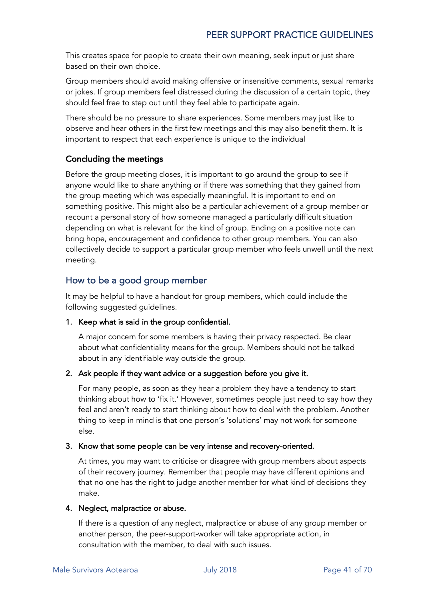This creates space for people to create their own meaning, seek input or just share based on their own choice.

Group members should avoid making offensive or insensitive comments, sexual remarks or jokes. If group members feel distressed during the discussion of a certain topic, they should feel free to step out until they feel able to participate again.

There should be no pressure to share experiences. Some members may just like to observe and hear others in the first few meetings and this may also benefit them. It is important to respect that each experience is unique to the individual

#### Concluding the meetings

Before the group meeting closes, it is important to go around the group to see if anyone would like to share anything or if there was something that they gained from the group meeting which was especially meaningful. It is important to end on something positive. This might also be a particular achievement of a group member or recount a personal story of how someone managed a particularly difficult situation depending on what is relevant for the kind of group. Ending on a positive note can bring hope, encouragement and confidence to other group members. You can also collectively decide to support a particular group member who feels unwell until the next meeting.

#### How to be a good group member

It may be helpful to have a handout for group members, which could include the following suggested guidelines.

#### 1. Keep what is said in the group confidential.

A major concern for some members is having their privacy respected. Be clear about what confidentiality means for the group. Members should not be talked about in any identifiable way outside the group.

#### 2. Ask people if they want advice or a suggestion before you give it.

For many people, as soon as they hear a problem they have a tendency to start thinking about how to 'fix it.' However, sometimes people just need to say how they feel and aren't ready to start thinking about how to deal with the problem. Another thing to keep in mind is that one person's 'solutions' may not work for someone else.

#### 3. Know that some people can be very intense and recovery-oriented.

At times, you may want to criticise or disagree with group members about aspects of their recovery journey. Remember that people may have different opinions and that no one has the right to judge another member for what kind of decisions they make.

#### 4. Neglect, malpractice or abuse.

If there is a question of any neglect, malpractice or abuse of any group member or another person, the peer-support-worker will take appropriate action, in consultation with the member, to deal with such issues.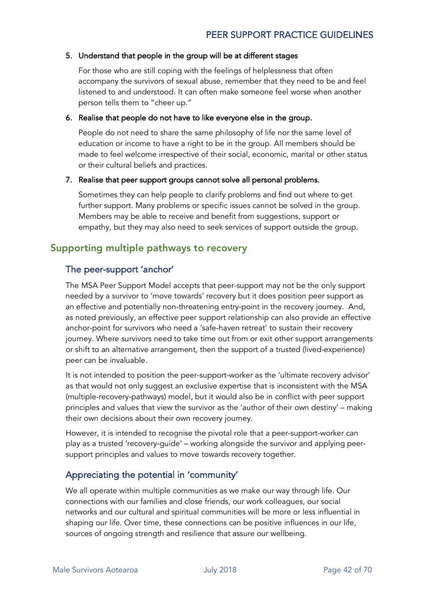#### 5. Understand that people in the group will be at different stages

For those who are still coping with the feelings of helplessness that often accompany the survivors of sexual abuse, remember that they need to be and feel listened to and understood. It can often make someone feel worse when another person tells them to "cheer up."

#### 6. Realise that people do not have to like everyone else in the group.

People do not need to share the same philosophy of life nor the same level of education or income to have a right to be in the group. All members should be made to feel welcome irrespective of their social, economic, marital or other status or their cultural beliefs and practices.

#### 7. Realise that peer support groups cannot solve all personal problems.

Sometimes they can help people to clarify problems and find out where to get further support. Many problems or specific issues cannot be solved in the group. Members may be able to receive and benefit from suggestions, support or empathy, but they may also need to seek services of support outside the group.

#### Supporting multiple pathways to recovery

#### The peer-support 'anchor'

The MSA Peer Support Model accepts that peer-support may not be the only support needed by a survivor to 'move towards' recovery but it does position peer support as an effective and potentially non-threatening entry-point in the recovery journey. And, as noted previously, an effective peer support relationship can also provide an effective anchor-point for survivors who need a 'safe-haven retreat' to sustain their recovery journey. Where survivors need to take time out from or exit other support arrangements or shift to an alternative arrangement, then the support of a trusted (lived-experience) peer can be invaluable.

It is not intended to position the peer-support-worker as the 'ultimate recovery advisor' as that would not only suggest an exclusive expertise that is inconsistent with the MSA (multiple-recovery-pathways) model, but it would also be in conflict with peer support principles and values that view the survivor as the 'author of their own destiny' – making their own decisions about their own recovery journey.

However, it is intended to recognise the pivotal role that a peer-support-worker can play as a trusted 'recovery-guide' – working alongside the survivor and applying peersupport principles and values to move towards recovery together.

#### Appreciating the potential in 'community'

We all operate within multiple communities as we make our way through life. Our connections with our families and close friends, our work colleagues, our social networks and our cultural and spiritual communities will be more or less influential in shaping our life. Over time, these connections can be positive influences in our life, sources of ongoing strength and resilience that assure our wellbeing.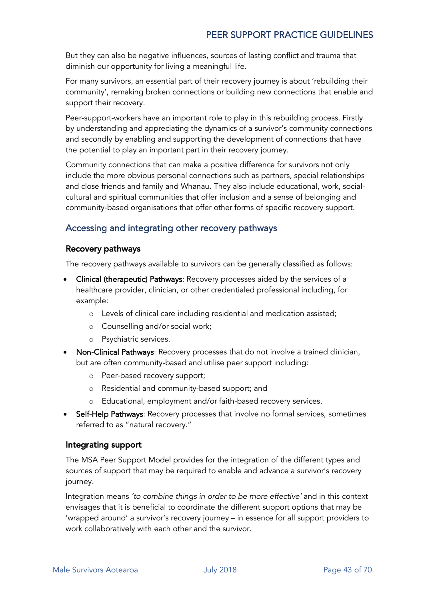But they can also be negative influences, sources of lasting conflict and trauma that diminish our opportunity for living a meaningful life.

For many survivors, an essential part of their recovery journey is about 'rebuilding their community', remaking broken connections or building new connections that enable and support their recovery.

Peer-support-workers have an important role to play in this rebuilding process. Firstly by understanding and appreciating the dynamics of a survivor's community connections and secondly by enabling and supporting the development of connections that have the potential to play an important part in their recovery journey.

Community connections that can make a positive difference for survivors not only include the more obvious personal connections such as partners, special relationships and close friends and family and Whanau. They also include educational, work, socialcultural and spiritual communities that offer inclusion and a sense of belonging and community-based organisations that offer other forms of specific recovery support.

#### Accessing and integrating other recovery pathways

#### Recovery pathways

The recovery pathways available to survivors can be generally classified as follows:

- Clinical (therapeutic) Pathways: Recovery processes aided by the services of a healthcare provider, clinician, or other credentialed professional including, for example:
	- o Levels of clinical care including residential and medication assisted;
	- o Counselling and/or social work;
	- o Psychiatric services.
- Non-Clinical Pathways: Recovery processes that do not involve a trained clinician, but are often community-based and utilise peer support including:
	- o Peer-based recovery support;
	- o Residential and community-based support; and
	- Educational, employment and/or faith-based recovery services.
- Self-Help Pathways: Recovery processes that involve no formal services, sometimes referred to as "natural recovery."

#### Integrating support

The MSA Peer Support Model provides for the integration of the different types and sources of support that may be required to enable and advance a survivor's recovery journey.

Integration means *'to combine things in order to be more effective'* and in this context envisages that it is beneficial to coordinate the different support options that may be 'wrapped around' a survivor's recovery journey – in essence for all support providers to work collaboratively with each other and the survivor.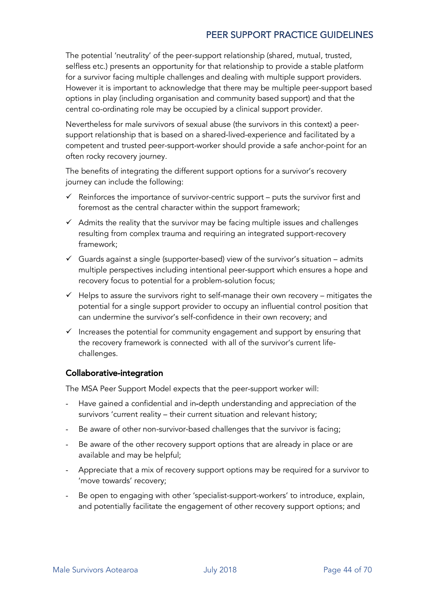The potential 'neutrality' of the peer-support relationship (shared, mutual, trusted, selfless etc.) presents an opportunity for that relationship to provide a stable platform for a survivor facing multiple challenges and dealing with multiple support providers. However it is important to acknowledge that there may be multiple peer-support based options in play (including organisation and community based support) and that the central co-ordinating role may be occupied by a clinical support provider.

Nevertheless for male survivors of sexual abuse (the survivors in this context) a peersupport relationship that is based on a shared-lived-experience and facilitated by a competent and trusted peer-support-worker should provide a safe anchor-point for an often rocky recovery journey.

The benefits of integrating the different support options for a survivor's recovery journey can include the following:

- $\checkmark$  Reinforces the importance of survivor-centric support puts the survivor first and foremost as the central character within the support framework;
- $\checkmark$  Admits the reality that the survivor may be facing multiple issues and challenges resulting from complex trauma and requiring an integrated support-recovery framework;
- $\checkmark$  Guards against a single (supporter-based) view of the survivor's situation admits multiple perspectives including intentional peer-support which ensures a hope and recovery focus to potential for a problem-solution focus;
- $\checkmark$  Helps to assure the survivors right to self-manage their own recovery mitigates the potential for a single support provider to occupy an influential control position that can undermine the survivor's self-confidence in their own recovery; and
- $\checkmark$  Increases the potential for community engagement and support by ensuring that the recovery framework is connected with all of the survivor's current lifechallenges.

#### Collaborative-integration

The MSA Peer Support Model expects that the peer-support worker will:

- Have gained a confidential and in-depth understanding and appreciation of the survivors 'current reality – their current situation and relevant history;
- Be aware of other non-survivor-based challenges that the survivor is facing;
- Be aware of the other recovery support options that are already in place or are available and may be helpful;
- Appreciate that a mix of recovery support options may be required for a survivor to 'move towards' recovery;
- Be open to engaging with other 'specialist-support-workers' to introduce, explain, and potentially facilitate the engagement of other recovery support options; and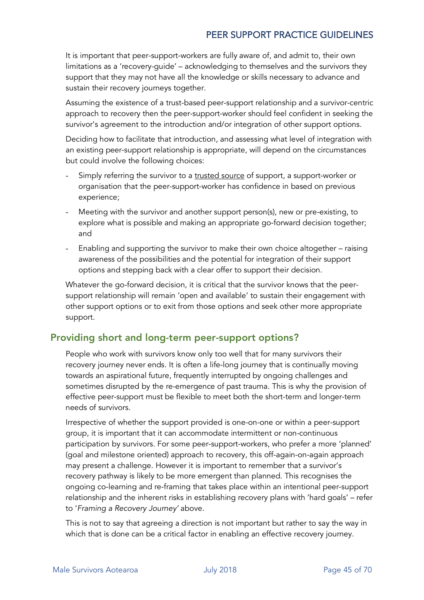It is important that peer-support-workers are fully aware of, and admit to, their own limitations as a 'recovery-guide' – acknowledging to themselves and the survivors they support that they may not have all the knowledge or skills necessary to advance and sustain their recovery journeys together.

Assuming the existence of a trust-based peer-support relationship and a survivor-centric approach to recovery then the peer-support-worker should feel confident in seeking the survivor's agreement to the introduction and/or integration of other support options.

Deciding how to facilitate that introduction, and assessing what level of integration with an existing peer-support relationship is appropriate, will depend on the circumstances but could involve the following choices:

- Simply referring the survivor to a trusted source of support, a support-worker or organisation that the peer-support-worker has confidence in based on previous experience;
- Meeting with the survivor and another support person(s), new or pre-existing, to explore what is possible and making an appropriate go-forward decision together; and
- Enabling and supporting the survivor to make their own choice altogether raising awareness of the possibilities and the potential for integration of their support options and stepping back with a clear offer to support their decision.

Whatever the go-forward decision, it is critical that the survivor knows that the peersupport relationship will remain 'open and available' to sustain their engagement with other support options or to exit from those options and seek other more appropriate support.

#### Providing short and long-term peer-support options?

People who work with survivors know only too well that for many survivors their recovery journey never ends. It is often a life-long journey that is continually moving towards an aspirational future, frequently interrupted by ongoing challenges and sometimes disrupted by the re-emergence of past trauma. This is why the provision of effective peer-support must be flexible to meet both the short-term and longer-term needs of survivors.

Irrespective of whether the support provided is one-on-one or within a peer-support group, it is important that it can accommodate intermittent or non-continuous participation by survivors. For some peer-support-workers, who prefer a more 'planned' (goal and milestone oriented) approach to recovery, this off-again-on-again approach may present a challenge. However it is important to remember that a survivor's recovery pathway is likely to be more emergent than planned. This recognises the ongoing co-learning and re-framing that takes place within an intentional peer-support relationship and the inherent risks in establishing recovery plans with 'hard goals' – refer to '*Framing a Recovery Journey'* above.

This is not to say that agreeing a direction is not important but rather to say the way in which that is done can be a critical factor in enabling an effective recovery journey.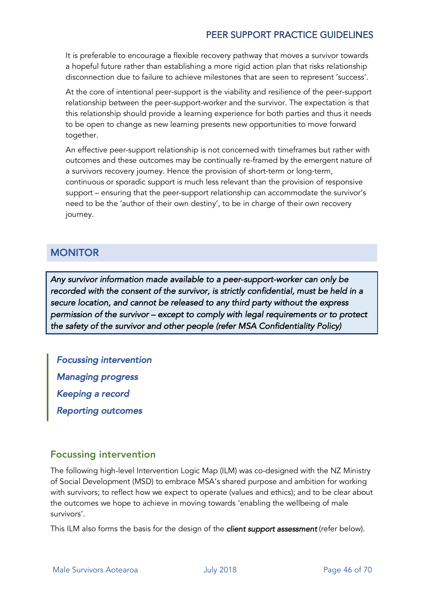It is preferable to encourage a flexible recovery pathway that moves a survivor towards a hopeful future rather than establishing a more rigid action plan that risks relationship disconnection due to failure to achieve milestones that are seen to represent 'success'.

At the core of intentional peer-support is the viability and resilience of the peer-support relationship between the peer-support-worker and the survivor. The expectation is that this relationship should provide a learning experience for both parties and thus it needs to be open to change as new learning presents new opportunities to move forward together.

An effective peer-support relationship is not concerned with timeframes but rather with outcomes and these outcomes may be continually re-framed by the emergent nature of a survivors recovery journey. Hence the provision of short-term or long-term, continuous or sporadic support is much less relevant than the provision of responsive support – ensuring that the peer-support relationship can accommodate the survivor's need to be the 'author of their own destiny', to be in charge of their own recovery journey.

### **MONITOR**

*Any survivor information made available to a peer-support-worker can only be recorded with the consent of the survivor, is strictly confidential, must be held in a secure location, and cannot be released to any third party without the express permission of the survivor – except to comply with legal requirements or to protect the safety of the survivor and other people (refer MSA Confidentiality Policy)* 

*Focussing intervention Managing progress Keeping a record Reporting outcomes* 

### Focussing intervention

The following high-level Intervention Logic Map (ILM) was co-designed with the NZ Ministry of Social Development (MSD) to embrace MSA's shared purpose and ambition for working with survivors; to reflect how we expect to operate (values and ethics); and to be clear about the outcomes we hope to achieve in moving towards 'enabling the wellbeing of male survivors'.

This ILM also forms the basis for the design of the *client support assessment* (refer below).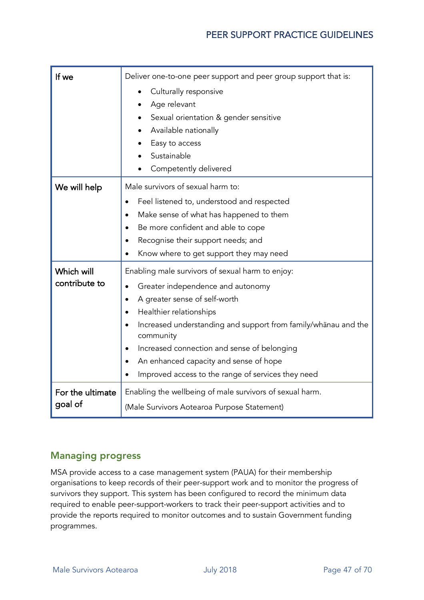| If we            | Deliver one-to-one peer support and peer group support that is:                       |  |
|------------------|---------------------------------------------------------------------------------------|--|
|                  | Culturally responsive<br>٠                                                            |  |
|                  | Age relevant                                                                          |  |
|                  | Sexual orientation & gender sensitive                                                 |  |
|                  | Available nationally                                                                  |  |
|                  | Easy to access                                                                        |  |
|                  | Sustainable                                                                           |  |
|                  | Competently delivered                                                                 |  |
| We will help     | Male survivors of sexual harm to:                                                     |  |
|                  | Feel listened to, understood and respected<br>$\bullet$                               |  |
|                  | Make sense of what has happened to them<br>$\bullet$                                  |  |
|                  | Be more confident and able to cope<br>$\bullet$<br>Recognise their support needs; and |  |
|                  |                                                                                       |  |
|                  | Know where to get support they may need                                               |  |
| Which will       | Enabling male survivors of sexual harm to enjoy:                                      |  |
| contribute to    | Greater independence and autonomy                                                     |  |
|                  | A greater sense of self-worth<br>٠                                                    |  |
|                  | Healthier relationships<br>$\bullet$                                                  |  |
|                  | Increased understanding and support from family/whänau and the<br>community           |  |
|                  | Increased connection and sense of belonging<br>$\bullet$                              |  |
|                  | An enhanced capacity and sense of hope                                                |  |
|                  | Improved access to the range of services they need                                    |  |
| For the ultimate | Enabling the wellbeing of male survivors of sexual harm.                              |  |
| goal of          | (Male Survivors Aotearoa Purpose Statement)                                           |  |

#### Managing progress

MSA provide access to a case management system (PAUA) for their membership organisations to keep records of their peer-support work and to monitor the progress of survivors they support. This system has been configured to record the minimum data required to enable peer-support-workers to track their peer-support activities and to provide the reports required to monitor outcomes and to sustain Government funding programmes.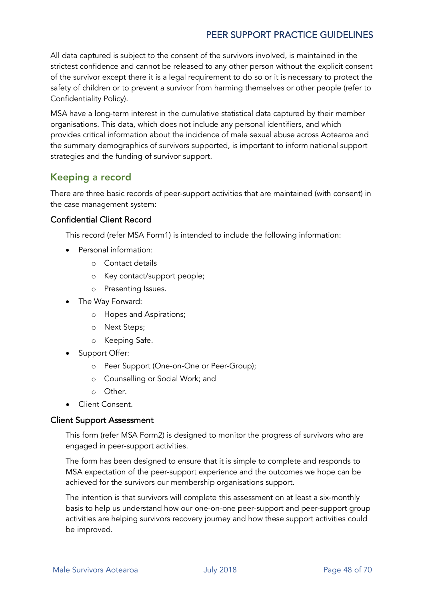All data captured is subject to the consent of the survivors involved, is maintained in the strictest confidence and cannot be released to any other person without the explicit consent of the survivor except there it is a legal requirement to do so or it is necessary to protect the safety of children or to prevent a survivor from harming themselves or other people (refer to Confidentiality Policy).

MSA have a long-term interest in the cumulative statistical data captured by their member organisations. This data, which does not include any personal identifiers, and which provides critical information about the incidence of male sexual abuse across Aotearoa and the summary demographics of survivors supported, is important to inform national support strategies and the funding of survivor support.

#### Keeping a record

There are three basic records of peer-support activities that are maintained (with consent) in the case management system:

#### Confidential Client Record

This record (refer MSA Form1) is intended to include the following information:

- Personal information:
	- o Contact details
	- o Key contact/support people;
	- o Presenting Issues.
- The Way Forward:
	- o Hopes and Aspirations;
	- o Next Steps;
	- o Keeping Safe.
- Support Offer:
	- o Peer Support (One-on-One or Peer-Group);
	- o Counselling or Social Work; and
	- o Other.
- Client Consent.

#### Client Support Assessment

This form (refer MSA Form2) is designed to monitor the progress of survivors who are engaged in peer-support activities.

The form has been designed to ensure that it is simple to complete and responds to MSA expectation of the peer-support experience and the outcomes we hope can be achieved for the survivors our membership organisations support.

The intention is that survivors will complete this assessment on at least a six-monthly basis to help us understand how our one-on-one peer-support and peer-support group activities are helping survivors recovery journey and how these support activities could be improved.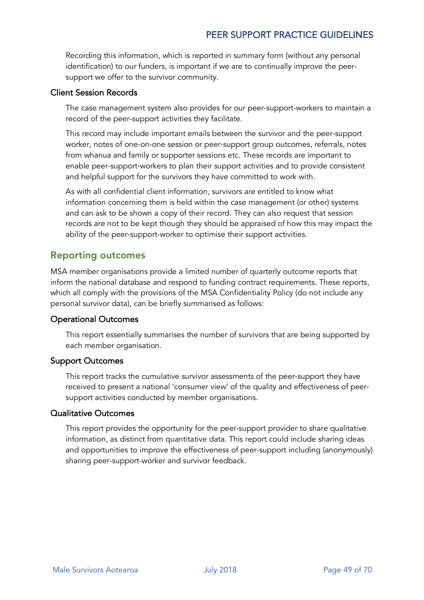Recording this information, which is reported in summary form (without any personal identification) to our funders, is important if we are to continually improve the peersupport we offer to the survivor community.

#### Client Session Records

The case management system also provides for our peer-support-workers to maintain a record of the peer-support activities they facilitate.

This record may include important emails between the survivor and the peer-support worker, notes of one-on-one session or peer-support group outcomes, referrals, notes from whanua and family or supporter sessions etc. These records are important to enable peer-support-workers to plan their support activities and to provide consistent and helpful support for the survivors they have committed to work with.

As with all confidential client information, survivors are entitled to know what information concerning them is held within the case management (or other) systems and can ask to be shown a copy of their record. They can also request that session records are not to be kept though they should be appraised of how this may impact the ability of the peer-support-worker to optimise their support activities.

#### Reporting outcomes

MSA member organisations provide a limited number of quarterly outcome reports that inform the national database and respond to funding contract requirements. These reports, which all comply with the provisions of the MSA Confidentiality Policy (do not include any personal survivor data), can be briefly summarised as follows:

#### Operational Outcomes

This report essentially summarises the number of survivors that are being supported by each member organisation.

#### Support Outcomes

This report tracks the cumulative survivor assessments of the peer-support they have received to present a national 'consumer view' of the quality and effectiveness of peersupport activities conducted by member organisations.

#### Qualitative Outcomes

This report provides the opportunity for the peer-support provider to share qualitative information, as distinct from quantitative data. This report could include sharing ideas and opportunities to improve the effectiveness of peer-support including (anonymously) sharing peer-support-worker and survivor feedback.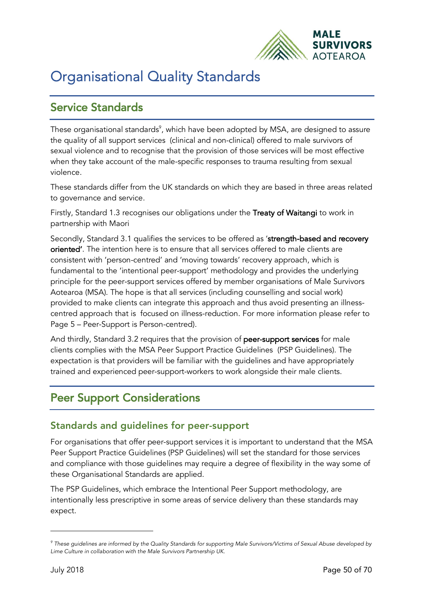

# Organisational Quality Standards

# Service Standards

These organisational standards $^{\circ}$ , which have been adopted by MSA, are designed to assure the quality of all support services (clinical and non-clinical) offered to male survivors of sexual violence and to recognise that the provision of those services will be most effective when they take account of the male-specific responses to trauma resulting from sexual violence.

These standards differ from the UK standards on which they are based in three areas related to governance and service.

Firstly, Standard 1.3 recognises our obligations under the Treaty of Waitangi to work in partnership with Maori

Secondly, Standard 3.1 qualifies the services to be offered as 'strength-based and recovery oriented'. The intention here is to ensure that all services offered to male clients are consistent with 'person-centred' and 'moving towards' recovery approach, which is fundamental to the 'intentional peer-support' methodology and provides the underlying principle for the peer-support services offered by member organisations of Male Survivors Aotearoa (MSA). The hope is that all services (including counselling and social work) provided to make clients can integrate this approach and thus avoid presenting an illnesscentred approach that is focused on illness-reduction. For more information please refer to Page 5 – Peer-Support is Person-centred).

And thirdly, Standard 3.2 requires that the provision of peer-support services for male clients complies with the MSA Peer Support Practice Guidelines (PSP Guidelines). The expectation is that providers will be familiar with the guidelines and have appropriately trained and experienced peer-support-workers to work alongside their male clients.

# Peer Support Considerations

#### Standards and guidelines for peer-support

For organisations that offer peer-support services it is important to understand that the MSA Peer Support Practice Guidelines (PSP Guidelines) will set the standard for those services and compliance with those guidelines may require a degree of flexibility in the way some of these Organisational Standards are applied.

The PSP Guidelines, which embrace the Intentional Peer Support methodology, are intentionally less prescriptive in some areas of service delivery than these standards may expect.

1

*<sup>9</sup> These guidelines are informed by the Quality Standards for supporting Male Survivors/Victims of Sexual Abuse developed by Lime Culture in collaboration with the Male Survivors Partnership UK.*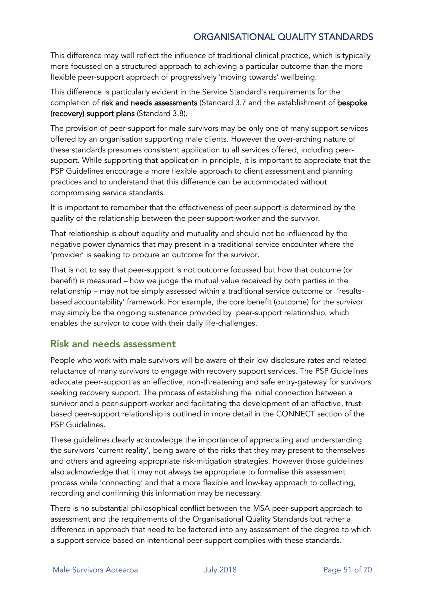#### ORGANISATIONAL QUALITY STANDARDS

This difference may well reflect the influence of traditional clinical practice, which is typically more focussed on a structured approach to achieving a particular outcome than the more flexible peer-support approach of progressively 'moving towards' wellbeing.

This difference is particularly evident in the Service Standard's requirements for the completion of risk and needs assessments (Standard 3.7 and the establishment of bespoke (recovery) support plans (Standard 3.8).

The provision of peer-support for male survivors may be only one of many support services offered by an organisation supporting male clients. However the over-arching nature of these standards presumes consistent application to all services offered, including peersupport. While supporting that application in principle, it is important to appreciate that the PSP Guidelines encourage a more flexible approach to client assessment and planning practices and to understand that this difference can be accommodated without compromising service standards.

It is important to remember that the effectiveness of peer-support is determined by the quality of the relationship between the peer-support-worker and the survivor.

That relationship is about equality and mutuality and should not be influenced by the negative power dynamics that may present in a traditional service encounter where the 'provider' is seeking to procure an outcome for the survivor.

That is not to say that peer-support is not outcome focussed but how that outcome (or benefit) is measured – how we judge the mutual value received by both parties in the relationship – may not be simply assessed within a traditional service outcome or 'resultsbased accountability' framework. For example, the core benefit (outcome) for the survivor may simply be the ongoing sustenance provided by peer-support relationship, which enables the survivor to cope with their daily life-challenges.

#### Risk and needs assessment

People who work with male survivors will be aware of their low disclosure rates and related reluctance of many survivors to engage with recovery support services. The PSP Guidelines advocate peer-support as an effective, non-threatening and safe entry-gateway for survivors seeking recovery support. The process of establishing the initial connection between a survivor and a peer-support-worker and facilitating the development of an effective, trustbased peer-support relationship is outlined in more detail in the CONNECT section of the PSP Guidelines.

These guidelines clearly acknowledge the importance of appreciating and understanding the survivors 'current reality', being aware of the risks that they may present to themselves and others and agreeing appropriate risk-mitigation strategies. However those guidelines also acknowledge that it may not always be appropriate to formalise this assessment process while 'connecting' and that a more flexible and low-key approach to collecting, recording and confirming this information may be necessary.

There is no substantial philosophical conflict between the MSA peer-support approach to assessment and the requirements of the Organisational Quality Standards but rather a difference in approach that need to be factored into any assessment of the degree to which a support service based on intentional peer-support complies with these standards.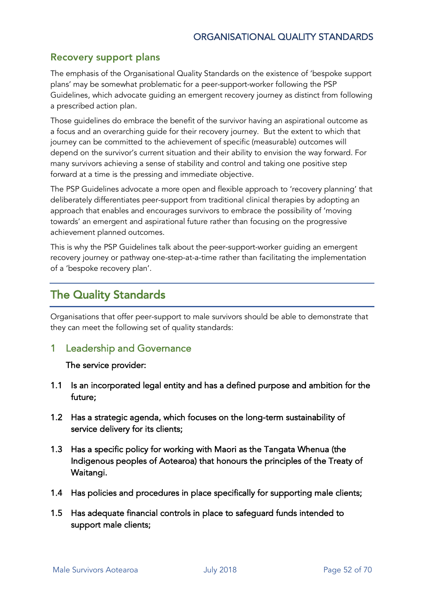#### Recovery support plans

The emphasis of the Organisational Quality Standards on the existence of 'bespoke support plans' may be somewhat problematic for a peer-support-worker following the PSP Guidelines, which advocate guiding an emergent recovery journey as distinct from following a prescribed action plan.

Those guidelines do embrace the benefit of the survivor having an aspirational outcome as a focus and an overarching guide for their recovery journey. But the extent to which that journey can be committed to the achievement of specific (measurable) outcomes will depend on the survivor's current situation and their ability to envision the way forward. For many survivors achieving a sense of stability and control and taking one positive step forward at a time is the pressing and immediate objective.

The PSP Guidelines advocate a more open and flexible approach to 'recovery planning' that deliberately differentiates peer-support from traditional clinical therapies by adopting an approach that enables and encourages survivors to embrace the possibility of 'moving towards' an emergent and aspirational future rather than focusing on the progressive achievement planned outcomes.

This is why the PSP Guidelines talk about the peer-support-worker guiding an emergent recovery journey or pathway one-step-at-a-time rather than facilitating the implementation of a 'bespoke recovery plan'.

# The Quality Standards

Organisations that offer peer-support to male survivors should be able to demonstrate that they can meet the following set of quality standards:

1 Leadership and Governance

#### The service provider:

- 1.1 Is an incorporated legal entity and has a defined purpose and ambition for the future;
- 1.2 Has a strategic agenda, which focuses on the long-term sustainability of service delivery for its clients;
- 1.3 Has a specific policy for working with Maori as the Tangata Whenua (the Indigenous peoples of Aotearoa) that honours the principles of the Treaty of Waitangi.
- 1.4 Has policies and procedures in place specifically for supporting male clients;
- 1.5 Has adequate financial controls in place to safeguard funds intended to support male clients;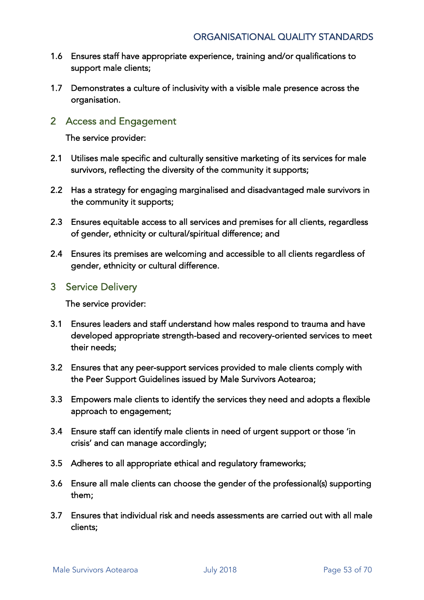- 1.6 Ensures staff have appropriate experience, training and/or qualifications to support male clients;
- 1.7 Demonstrates a culture of inclusivity with a visible male presence across the organisation.
- 2 Access and Engagement

The service provider:

- 2.1 Utilises male specific and culturally sensitive marketing of its services for male survivors, reflecting the diversity of the community it supports;
- 2.2 Has a strategy for engaging marginalised and disadvantaged male survivors in the community it supports;
- 2.3 Ensures equitable access to all services and premises for all clients, regardless of gender, ethnicity or cultural/spiritual difference; and
- 2.4 Ensures its premises are welcoming and accessible to all clients regardless of gender, ethnicity or cultural difference.
- 3 Service Delivery

The service provider:

- 3.1 Ensures leaders and staff understand how males respond to trauma and have developed appropriate strength-based and recovery-oriented services to meet their needs;
- 3.2 Ensures that any peer-support services provided to male clients comply with the Peer Support Guidelines issued by Male Survivors Aotearoa;
- 3.3 Empowers male clients to identify the services they need and adopts a flexible approach to engagement;
- 3.4 Ensure staff can identify male clients in need of urgent support or those 'in crisis' and can manage accordingly;
- 3.5 Adheres to all appropriate ethical and regulatory frameworks;
- 3.6 Ensure all male clients can choose the gender of the professional(s) supporting them;
- 3.7 Ensures that individual risk and needs assessments are carried out with all male clients;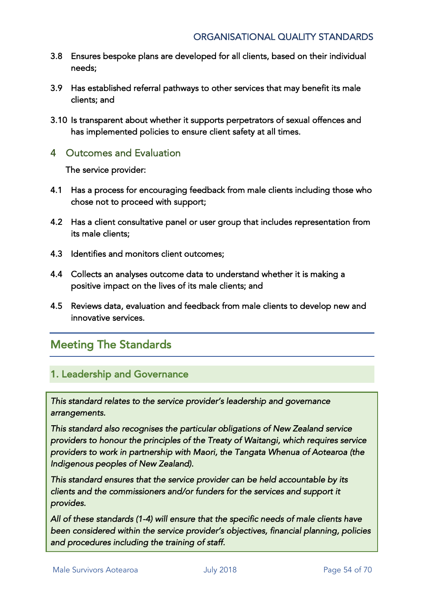- 3.8 Ensures bespoke plans are developed for all clients, based on their individual needs;
- 3.9 Has established referral pathways to other services that may benefit its male clients; and
- 3.10 Is transparent about whether it supports perpetrators of sexual offences and has implemented policies to ensure client safety at all times.

#### 4 Outcomes and Evaluation

The service provider:

- 4.1 Has a process for encouraging feedback from male clients including those who chose not to proceed with support;
- 4.2 Has a client consultative panel or user group that includes representation from its male clients;
- 4.3 Identifies and monitors client outcomes;
- 4.4 Collects an analyses outcome data to understand whether it is making a positive impact on the lives of its male clients; and
- 4.5 Reviews data, evaluation and feedback from male clients to develop new and innovative services.

# Meeting The Standards

#### 1. Leadership and Governance

*This standard relates to the service provider's leadership and governance arrangements.* 

*This standard also recognises the particular obligations of New Zealand service providers to honour the principles of the Treaty of Waitangi, which requires service providers to work in partnership with Maori, the Tangata Whenua of Aotearoa (the Indigenous peoples of New Zealand).* 

*This standard ensures that the service provider can be held accountable by its clients and the commissioners and/or funders for the services and support it provides.* 

*All of these standards (1-4) will ensure that the specific needs of male clients have been considered within the service provider's objectives, financial planning, policies and procedures including the training of staff.*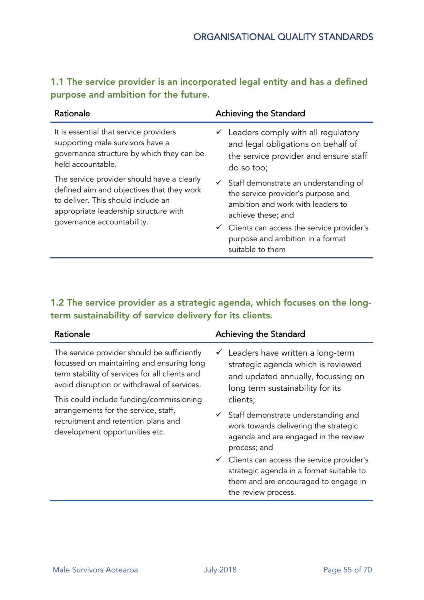| Rationale                                                                                                                                                                                            | Achieving the Standard                                                                                                                                                                                                                                                |
|------------------------------------------------------------------------------------------------------------------------------------------------------------------------------------------------------|-----------------------------------------------------------------------------------------------------------------------------------------------------------------------------------------------------------------------------------------------------------------------|
| It is essential that service providers<br>supporting male survivors have a<br>governance structure by which they can be<br>held accountable.                                                         | $\checkmark$ Leaders comply with all regulatory<br>and legal obligations on behalf of<br>the service provider and ensure staff<br>do so too;                                                                                                                          |
| The service provider should have a clearly<br>defined aim and objectives that they work<br>to deliver. This should include an<br>appropriate leadership structure with<br>governance accountability. | $\checkmark$ Staff demonstrate an understanding of<br>the service provider's purpose and<br>ambition and work with leaders to<br>achieve these; and<br>$\checkmark$ Clients can access the service provider's<br>purpose and ambition in a format<br>suitable to them |

### 1.1 The service provider is an incorporated legal entity and has a defined purpose and ambition for the future.

#### 1.2 The service provider as a strategic agenda, which focuses on the longterm sustainability of service delivery for its clients.

| Rationale                                                                                                                                                                                 | Achieving the Standard                                                                                                                                            |
|-------------------------------------------------------------------------------------------------------------------------------------------------------------------------------------------|-------------------------------------------------------------------------------------------------------------------------------------------------------------------|
| The service provider should be sufficiently<br>focussed on maintaining and ensuring long<br>term stability of services for all clients and<br>avoid disruption or withdrawal of services. | Leaders have written a long-term<br>✓<br>strategic agenda which is reviewed<br>and updated annually, focussing on<br>long term sustainability for its             |
| This could include funding/commissioning                                                                                                                                                  | clients;                                                                                                                                                          |
| arrangements for the service, staff,<br>recruitment and retention plans and<br>development opportunities etc.                                                                             | $\checkmark$ Staff demonstrate understanding and<br>work towards delivering the strategic<br>agenda and are engaged in the review<br>process; and                 |
|                                                                                                                                                                                           | $\checkmark$ Clients can access the service provider's<br>strategic agenda in a format suitable to<br>them and are encouraged to engage in<br>the review process. |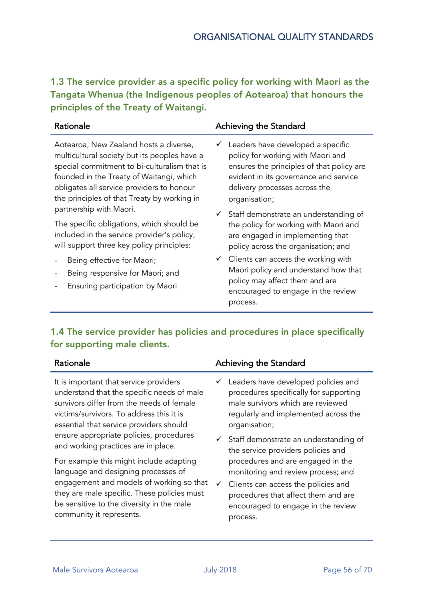1.3 The service provider as a specific policy for working with Maori as the Tangata Whenua (the Indigenous peoples of Aotearoa) that honours the principles of the Treaty of Waitangi.

| Rationale                                                     | Achieving the Standard                                                                                                    |
|---------------------------------------------------------------|---------------------------------------------------------------------------------------------------------------------------|
| Aotearoa, New Zealand hosts a diverse,                        | $\checkmark$ Leaders have developed a specific                                                                            |
| multicultural society but its peoples have a                  | policy for working with Maori and                                                                                         |
| special commitment to bi-culturalism that is                  | ensures the principles of that policy are                                                                                 |
| founded in the Treaty of Waitangi, which                      | evident in its governance and service                                                                                     |
| obligates all service providers to honour                     | delivery processes across the                                                                                             |
| the principles of that Treaty by working in                   | organisation;                                                                                                             |
| partnership with Maori.                                       | $\checkmark$ Staff demonstrate an understanding of                                                                        |
| The specific obligations, which should be                     | the policy for working with Maori and                                                                                     |
| included in the service provider's policy,                    | are engaged in implementing that                                                                                          |
| will support three key policy principles:                     | policy across the organisation; and                                                                                       |
| Being effective for Maori;<br>Being responsive for Maori; and | $\checkmark$ Clients can access the working with<br>Maori policy and understand how that<br>policumou affact tham and are |

- Ensuring participation by Maori
- policy may affect them and are encouraged to engage in the review process.

#### 1.4 The service provider has policies and procedures in place specifically for supporting male clients.

It is important that service providers understand that the specific needs of male survivors differ from the needs of female victims/survivors. To address this it is essential that service providers should ensure appropriate policies, procedures and working practices are in place.

For example this might include adapting language and designing processes of engagement and models of working so that they are male specific. These policies must be sensitive to the diversity in the male community it represents.

#### Rationale **Achieving the Standard**

- $\checkmark$  Leaders have developed policies and procedures specifically for supporting male survivors which are reviewed regularly and implemented across the organisation;
- $\checkmark$  Staff demonstrate an understanding of the service providers policies and procedures and are engaged in the monitoring and review process; and
- $\checkmark$  Clients can access the policies and procedures that affect them and are encouraged to engage in the review process.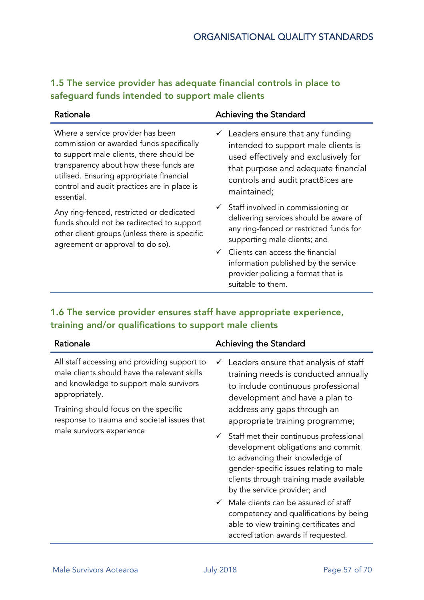### 1.5 The service provider has adequate financial controls in place to safeguard funds intended to support male clients

| Rationale                                                                                                                                                                                                                                                                    | Achieving the Standard                                                                                                                                                                                                                                                                                                   |
|------------------------------------------------------------------------------------------------------------------------------------------------------------------------------------------------------------------------------------------------------------------------------|--------------------------------------------------------------------------------------------------------------------------------------------------------------------------------------------------------------------------------------------------------------------------------------------------------------------------|
| Where a service provider has been<br>commission or awarded funds specifically<br>to support male clients, there should be<br>transparency about how these funds are<br>utilised. Ensuring appropriate financial<br>control and audit practices are in place is<br>essential. | $\checkmark$ Leaders ensure that any funding<br>intended to support male clients is<br>used effectively and exclusively for<br>that purpose and adequate financial<br>controls and audit pract8ices are<br>maintained;                                                                                                   |
| Any ring-fenced, restricted or dedicated<br>funds should not be redirected to support<br>other client groups (unless there is specific<br>agreement or approval to do so).                                                                                                   | $\checkmark$ Staff involved in commissioning or<br>delivering services should be aware of<br>any ring-fenced or restricted funds for<br>supporting male clients; and<br>$\checkmark$ Clients can access the financial<br>information published by the service<br>provider policing a format that is<br>suitable to them. |

#### 1.6 The service provider ensures staff have appropriate experience, training and/or qualifications to support male clients

| Rationale                                                                                                                                                                                                                                         | Achieving the Standard                                                                                                                                                                                                                              |
|---------------------------------------------------------------------------------------------------------------------------------------------------------------------------------------------------------------------------------------------------|-----------------------------------------------------------------------------------------------------------------------------------------------------------------------------------------------------------------------------------------------------|
| All staff accessing and providing support to<br>male clients should have the relevant skills<br>and knowledge to support male survivors<br>appropriately.<br>Training should focus on the specific<br>response to trauma and societal issues that | Leaders ensure that analysis of staff<br>✓<br>training needs is conducted annually<br>to include continuous professional<br>development and have a plan to<br>address any gaps through an<br>appropriate training programme;                        |
| male survivors experience                                                                                                                                                                                                                         | $\checkmark$ Staff met their continuous professional<br>development obligations and commit<br>to advancing their knowledge of<br>gender-specific issues relating to male<br>clients through training made available<br>by the service provider; and |
|                                                                                                                                                                                                                                                   | Male clients can be assured of staff<br>$\checkmark$<br>competency and qualifications by being<br>able to view training certificates and<br>accreditation awards if requested.                                                                      |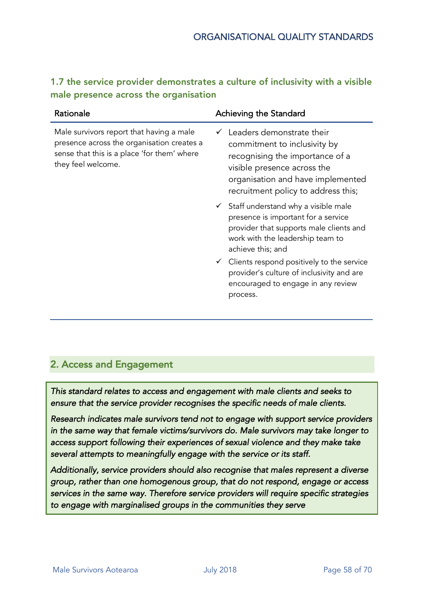| 1.7 the service provider demonstrates a culture of inclusivity with a visible |  |
|-------------------------------------------------------------------------------|--|
| male presence across the organisation                                         |  |

| Rationale                                                                                                                                                   | Achieving the Standard                                                                                                                                                                                  |
|-------------------------------------------------------------------------------------------------------------------------------------------------------------|---------------------------------------------------------------------------------------------------------------------------------------------------------------------------------------------------------|
| Male survivors report that having a male<br>presence across the organisation creates a<br>sense that this is a place 'for them' where<br>they feel welcome. | Leaders demonstrate their<br>commitment to inclusivity by<br>recognising the importance of a<br>visible presence across the<br>organisation and have implemented<br>recruitment policy to address this; |
|                                                                                                                                                             | $\checkmark$ Staff understand why a visible male<br>presence is important for a service<br>provider that supports male clients and<br>work with the leadership team to<br>achieve this; and             |
|                                                                                                                                                             | $\checkmark$ Clients respond positively to the service<br>provider's culture of inclusivity and are<br>encouraged to engage in any review<br>process.                                                   |

### 2. Access and Engagement

*This standard relates to access and engagement with male clients and seeks to ensure that the service provider recognises the specific needs of male clients.* 

*Research indicates male survivors tend not to engage with support service providers in the same way that female victims/survivors do. Male survivors may take longer to access support following their experiences of sexual violence and they make take several attempts to meaningfully engage with the service or its staff.* 

*Additionally, service providers should also recognise that males represent a diverse group, rather than one homogenous group, that do not respond, engage or access services in the same way. Therefore service providers will require specific strategies to engage with marginalised groups in the communities they serve*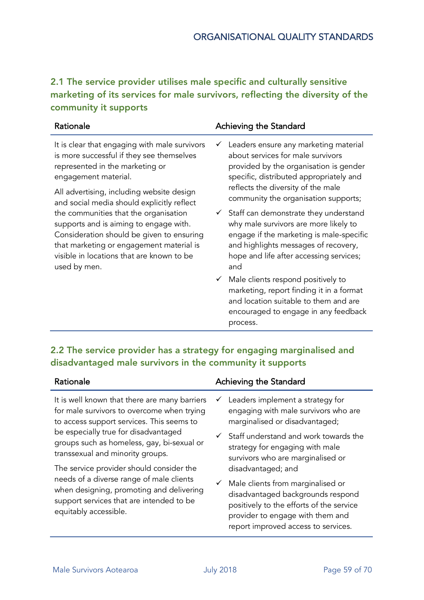2.1 The service provider utilises male specific and culturally sensitive marketing of its services for male survivors, reflecting the diversity of the community it supports

| Rationale                                                                                                                                                                                                                                                                                                                                                                                                                                                                                 | Achieving the Standard                                                                                                                                                                                                            |
|-------------------------------------------------------------------------------------------------------------------------------------------------------------------------------------------------------------------------------------------------------------------------------------------------------------------------------------------------------------------------------------------------------------------------------------------------------------------------------------------|-----------------------------------------------------------------------------------------------------------------------------------------------------------------------------------------------------------------------------------|
| It is clear that engaging with male survivors<br>is more successful if they see themselves<br>represented in the marketing or<br>engagement material.<br>All advertising, including website design<br>and social media should explicitly reflect<br>the communities that the organisation<br>supports and is aiming to engage with.<br>Consideration should be given to ensuring<br>that marketing or engagement material is<br>visible in locations that are known to be<br>used by men. | Leaders ensure any marketing material<br>✓<br>about services for male survivors<br>provided by the organisation is gender<br>specific, distributed appropriately and<br>reflects the diversity of the male                        |
|                                                                                                                                                                                                                                                                                                                                                                                                                                                                                           | community the organisation supports;                                                                                                                                                                                              |
|                                                                                                                                                                                                                                                                                                                                                                                                                                                                                           | $\checkmark$ Staff can demonstrate they understand<br>why male survivors are more likely to<br>engage if the marketing is male-specific<br>and highlights messages of recovery,<br>hope and life after accessing services;<br>and |
|                                                                                                                                                                                                                                                                                                                                                                                                                                                                                           | $\checkmark$ Male clients respond positively to<br>marketing, report finding it in a format<br>and location suitable to them and are<br>encouraged to engage in any feedback<br>process.                                          |

### 2.2 The service provider has a strategy for engaging marginalised and disadvantaged male survivors in the community it supports

| Rationale                                                                                                                                                                                                                                                          | Achieving the Standard                                                                                                                                                                                     |
|--------------------------------------------------------------------------------------------------------------------------------------------------------------------------------------------------------------------------------------------------------------------|------------------------------------------------------------------------------------------------------------------------------------------------------------------------------------------------------------|
| It is well known that there are many barriers<br>for male survivors to overcome when trying<br>to access support services. This seems to<br>be especially true for disadvantaged<br>groups such as homeless, gay, bi-sexual or<br>transsexual and minority groups. | $\checkmark$ Leaders implement a strategy for<br>engaging with male survivors who are<br>marginalised or disadvantaged;                                                                                    |
|                                                                                                                                                                                                                                                                    | $\checkmark$ Staff understand and work towards the<br>strategy for engaging with male<br>survivors who are marginalised or                                                                                 |
| The service provider should consider the<br>needs of a diverse range of male clients<br>when designing, promoting and delivering<br>support services that are intended to be<br>equitably accessible.                                                              | disadvantaged; and                                                                                                                                                                                         |
|                                                                                                                                                                                                                                                                    | $\checkmark$ Male clients from marginalised or<br>disadvantaged backgrounds respond<br>positively to the efforts of the service<br>provider to engage with them and<br>report improved access to services. |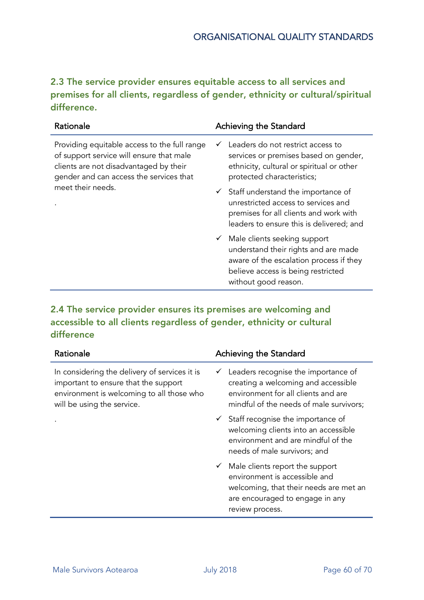2.3 The service provider ensures equitable access to all services and premises for all clients, regardless of gender, ethnicity or cultural/spiritual difference.

| Rationale                                                                                                                                                                     | Achieving the Standard                                                                                                                                                                     |
|-------------------------------------------------------------------------------------------------------------------------------------------------------------------------------|--------------------------------------------------------------------------------------------------------------------------------------------------------------------------------------------|
| Providing equitable access to the full range<br>of support service will ensure that male<br>clients are not disadvantaged by their<br>gender and can access the services that | Leaders do not restrict access to<br>$\checkmark$<br>services or premises based on gender,<br>ethnicity, cultural or spiritual or other<br>protected characteristics;                      |
| meet their needs.                                                                                                                                                             | $\checkmark$ Staff understand the importance of<br>unrestricted access to services and<br>premises for all clients and work with<br>leaders to ensure this is delivered; and               |
|                                                                                                                                                                               | $\checkmark$ Male clients seeking support<br>understand their rights and are made<br>aware of the escalation process if they<br>believe access is being restricted<br>without good reason. |
|                                                                                                                                                                               |                                                                                                                                                                                            |

#### 2.4 The service provider ensures its premises are welcoming and accessible to all clients regardless of gender, ethnicity or cultural difference

| Rationale                                                                                                                                                        | Achieving the Standard                                                                                                                                                        |
|------------------------------------------------------------------------------------------------------------------------------------------------------------------|-------------------------------------------------------------------------------------------------------------------------------------------------------------------------------|
| In considering the delivery of services it is<br>important to ensure that the support<br>environment is welcoming to all those who<br>will be using the service. | $\checkmark$ Leaders recognise the importance of<br>creating a welcoming and accessible<br>environment for all clients and are<br>mindful of the needs of male survivors;     |
|                                                                                                                                                                  | $\checkmark$ Staff recognise the importance of<br>welcoming clients into an accessible<br>environment and are mindful of the<br>needs of male survivors; and                  |
|                                                                                                                                                                  | $\checkmark$ Male clients report the support<br>environment is accessible and<br>welcoming, that their needs are met an<br>are encouraged to engage in any<br>review process. |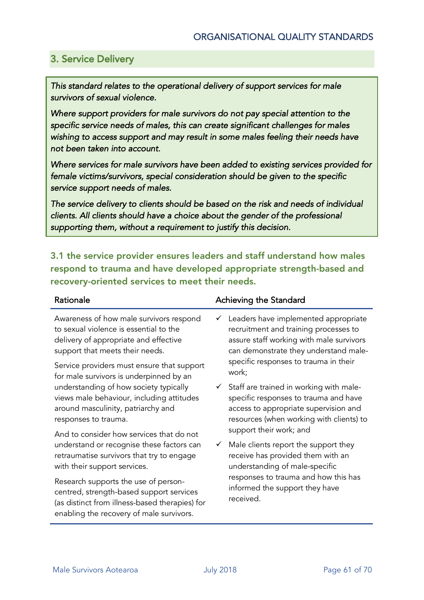### 3. Service Delivery

*This standard relates to the operational delivery of support services for male survivors of sexual violence.* 

*Where support providers for male survivors do not pay special attention to the specific service needs of males, this can create significant challenges for males*  wishing to access support and may result in some males feeling their needs have *not been taken into account.* 

*Where services for male survivors have been added to existing services provided for female victims/survivors, special consideration should be given to the specific service support needs of males.* 

*The service delivery to clients should be based on the risk and needs of individual clients. All clients should have a choice about the gender of the professional supporting them, without a requirement to justify this decision.* 

3.1 the service provider ensures leaders and staff understand how males respond to trauma and have developed appropriate strength-based and recovery-oriented services to meet their needs.

Awareness of how male survivors respond to sexual violence is essential to the delivery of appropriate and effective support that meets their needs.

Service providers must ensure that support for male survivors is underpinned by an understanding of how society typically views male behaviour, including attitudes around masculinity, patriarchy and responses to trauma.

And to consider how services that do not understand or recognise these factors can retraumatise survivors that try to engage with their support services.

Research supports the use of personcentred, strength-based support services (as distinct from illness-based therapies) for enabling the recovery of male survivors.

#### Rationale **Achieving the Standard**

- $\checkmark$  Leaders have implemented appropriate recruitment and training processes to assure staff working with male survivors can demonstrate they understand malespecific responses to trauma in their work;
- $\checkmark$  Staff are trained in working with malespecific responses to trauma and have access to appropriate supervision and resources (when working with clients) to support their work; and
- $\checkmark$  Male clients report the support they receive has provided them with an understanding of male-specific responses to trauma and how this has informed the support they have received.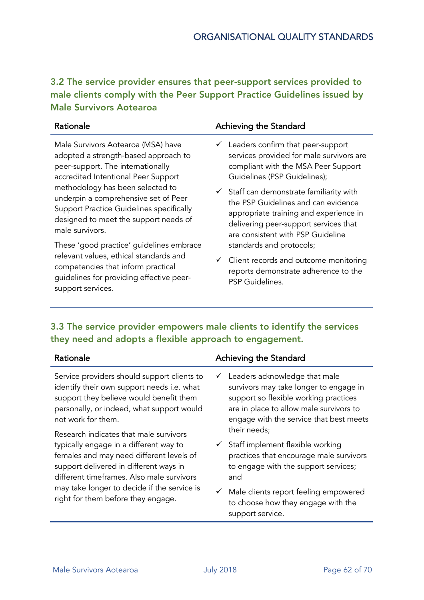#### 3.2 The service provider ensures that peer-support services provided to male clients comply with the Peer Support Practice Guidelines issued by Male Survivors Aotearoa

| Rationale                                | Achieving the Standard                              |
|------------------------------------------|-----------------------------------------------------|
| Male Survivors Aotearoa (MSA) have       | $\checkmark$ Leaders confirm that peer-support      |
| adopted a strength-based approach to     | services provided for male survivors are            |
| peer-support. The internationally        | compliant with the MSA Peer Support                 |
| accredited Intentional Peer Support      | Guidelines (PSP Guidelines);                        |
| methodology has been selected to         | $\checkmark$ Staff can demonstrate familiarity with |
| underpin a comprehensive set of Peer     | the PSP Guidelines and can evidence                 |
| Support Practice Guidelines specifically | appropriate training and experience in              |
| designed to meet the support needs of    | delivering peer-support services that               |
| male survivors.                          | are consistent with PSP Guideline                   |
| These 'good practice' guidelines embrace | standards and protocols;                            |
| relevant values, ethical standards and   | $\checkmark$ Client records and outcome monitoring  |
| competencies that inform practical       | reports demonstrate adherence to the                |

#### 3.3 The service provider empowers male clients to identify the services they need and adopts a flexible approach to engagement.

PSP Guidelines.

| Rationale                                                                                                                                                                                                                                                      | Achieving the Standard                                                                                                                                                                                      |
|----------------------------------------------------------------------------------------------------------------------------------------------------------------------------------------------------------------------------------------------------------------|-------------------------------------------------------------------------------------------------------------------------------------------------------------------------------------------------------------|
| Service providers should support clients to<br>identify their own support needs i.e. what<br>support they believe would benefit them<br>personally, or indeed, what support would<br>not work for them.                                                        | Leaders acknowledge that male<br>✓<br>survivors may take longer to engage in<br>support so flexible working practices<br>are in place to allow male survivors to<br>engage with the service that best meets |
| Research indicates that male survivors                                                                                                                                                                                                                         | their needs;                                                                                                                                                                                                |
| typically engage in a different way to<br>females and may need different levels of<br>support delivered in different ways in<br>different timeframes. Also male survivors<br>may take longer to decide if the service is<br>right for them before they engage. | $\checkmark$ Staff implement flexible working<br>practices that encourage male survivors<br>to engage with the support services;<br>and                                                                     |
|                                                                                                                                                                                                                                                                | $\checkmark$ Male clients report feeling empowered<br>to choose how they engage with the<br>support service.                                                                                                |

guidelines for providing effective peer-

support services.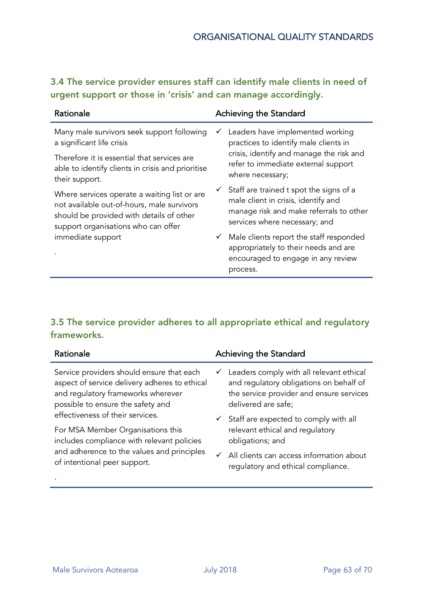### 3.4 The service provider ensures staff can identify male clients in need of urgent support or those in 'crisis' and can manage accordingly.

| Rationale                                                                                                                                                                     | Achieving the Standard                                                                                                                                                  |
|-------------------------------------------------------------------------------------------------------------------------------------------------------------------------------|-------------------------------------------------------------------------------------------------------------------------------------------------------------------------|
| Many male survivors seek support following<br>a significant life crisis                                                                                                       | Leaders have implemented working<br>✓<br>practices to identify male clients in                                                                                          |
| Therefore it is essential that services are<br>able to identify clients in crisis and prioritise<br>their support.                                                            | crisis, identify and manage the risk and<br>refer to immediate external support<br>where necessary;                                                                     |
| Where services operate a waiting list or are<br>not available out-of-hours, male survivors<br>should be provided with details of other<br>support organisations who can offer | $\checkmark$ Staff are trained t spot the signs of a<br>male client in crisis, identify and<br>manage risk and make referrals to other<br>services where necessary; and |
| immediate support                                                                                                                                                             | $\checkmark$ Male clients report the staff responded<br>appropriately to their needs and are<br>encouraged to engage in any review<br>process.                          |

### 3.5 The service provider adheres to all appropriate ethical and regulatory frameworks.

| Rationale                                     | Achieving the Standard                                |
|-----------------------------------------------|-------------------------------------------------------|
| Service providers should ensure that each     | $\checkmark$ Leaders comply with all relevant ethical |
| aspect of service delivery adheres to ethical | and regulatory obligations on behalf of               |
| and regulatory frameworks wherever            | the service provider and ensure services              |
| possible to ensure the safety and             | delivered are safe;                                   |
| effectiveness of their services.              | $\checkmark$ Staff are expected to comply with all    |
| For MSA Member Organisations this             | relevant ethical and regulatory                       |
| includes compliance with relevant policies    | obligations; and                                      |
| and adherence to the values and principles    | $\checkmark$ All clients can access information about |
| of intentional peer support.                  | regulatory and ethical compliance.                    |

.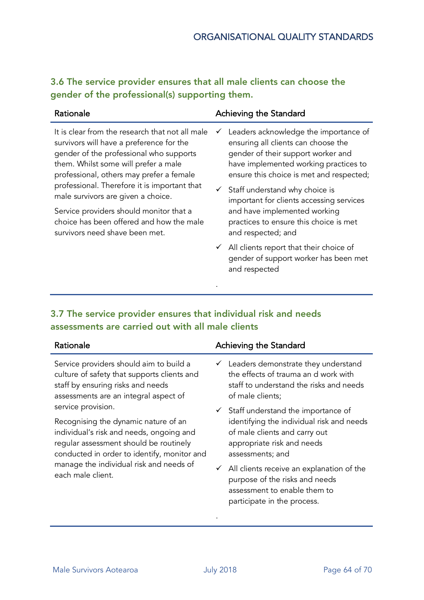#### 3.6 The service provider ensures that all male clients can choose the gender of the professional(s) supporting them.

| Rationale                                                                                                                                                                                                                                                                                                        | Achieving the Standard                                                                                                                                                                                                                                                                                  |
|------------------------------------------------------------------------------------------------------------------------------------------------------------------------------------------------------------------------------------------------------------------------------------------------------------------|---------------------------------------------------------------------------------------------------------------------------------------------------------------------------------------------------------------------------------------------------------------------------------------------------------|
| It is clear from the research that not all male<br>survivors will have a preference for the<br>gender of the professional who supports<br>them. Whilst some will prefer a male<br>professional, others may prefer a female<br>professional. Therefore it is important that<br>male survivors are given a choice. | Leaders acknowledge the importance of<br>✓<br>ensuring all clients can choose the<br>gender of their support worker and<br>have implemented working practices to<br>ensure this choice is met and respected;<br>$\checkmark$ Staff understand why choice is<br>important for clients accessing services |
| Service providers should monitor that a<br>choice has been offered and how the male<br>survivors need shave been met.                                                                                                                                                                                            | and have implemented working<br>practices to ensure this choice is met<br>and respected; and                                                                                                                                                                                                            |
|                                                                                                                                                                                                                                                                                                                  | $\checkmark$ All clients report that their choice of<br>gender of support worker has been met<br>and respected                                                                                                                                                                                          |
|                                                                                                                                                                                                                                                                                                                  |                                                                                                                                                                                                                                                                                                         |

#### 3.7 The service provider ensures that individual risk and needs assessments are carried out with all male clients

| Rationale                                                                                                                                                                 | Achieving the Standard                                                                                                                                  |
|---------------------------------------------------------------------------------------------------------------------------------------------------------------------------|---------------------------------------------------------------------------------------------------------------------------------------------------------|
| Service providers should aim to build a<br>culture of safety that supports clients and<br>staff by ensuring risks and needs<br>assessments are an integral aspect of      | $\checkmark$ Leaders demonstrate they understand<br>the effects of trauma an d work with<br>staff to understand the risks and needs<br>of male clients; |
| service provision.                                                                                                                                                        | $\checkmark$ Staff understand the importance of                                                                                                         |
| Recognising the dynamic nature of an<br>individual's risk and needs, ongoing and<br>regular assessment should be routinely<br>conducted in order to identify, monitor and | identifying the individual risk and needs<br>of male clients and carry out<br>appropriate risk and needs<br>assessments; and                            |
| manage the individual risk and needs of                                                                                                                                   | $\sim$ All oligate resolve an evaluation of the                                                                                                         |

 $\checkmark$  All clients receive an explanation of the purpose of the risks and needs assessment to enable them to participate in the process.

each male client.

.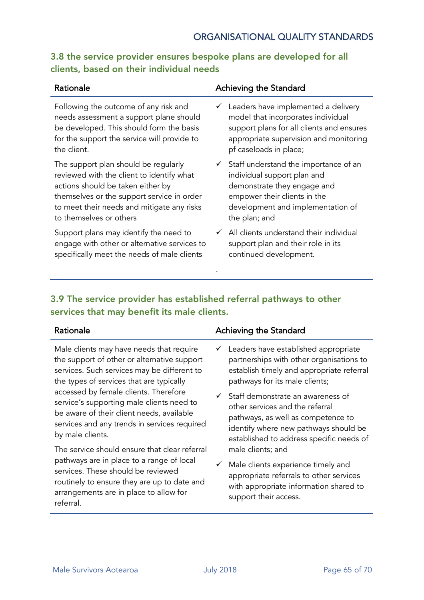#### 3.8 the service provider ensures bespoke plans are developed for all clients, based on their individual needs

| Rationale                                    | Achieving the Standard                             |
|----------------------------------------------|----------------------------------------------------|
| Following the outcome of any risk and        | $\checkmark$ Leaders have implemented a delivery   |
| needs assessment a support plane should      | model that incorporates individual                 |
| be developed. This should form the basis     | support plans for all clients and ensures          |
| for the support the service will provide to  | appropriate supervision and monitoring             |
| the client.                                  | pf caseloads in place;                             |
| The support plan should be regularly         | $\checkmark$ Staff understand the importance of an |
| reviewed with the client to identify what    | individual support plan and                        |
| actions should be taken either by            | demonstrate they engage and                        |
| themselves or the support service in order   | empower their clients in the                       |
| to meet their needs and mitigate any risks   | development and implementation of                  |
| to themselves or others                      | the plan; and                                      |
| Support plans may identify the need to       | All clients understand their individual            |
| engage with other or alternative services to | support plan and their role in its                 |
| specifically meet the needs of male clients  | continued development.                             |

#### 3.9 The service provider has established referral pathways to other services that may benefit its male clients.

| Rationale                                   | Achieving the Standard                          |
|---------------------------------------------|-------------------------------------------------|
| Male clients may have needs that require    | $\checkmark$ Leaders have established appropria |
| the support of other or alternative support | partnerships with other organisatio             |

services. Such services may be different to the types of services that are typically accessed by female clients. Therefore service's supporting male clients need to be aware of their client needs, available services and any trends in services required by male clients.

The service should ensure that clear referral pathways are in place to a range of local services. These should be reviewed routinely to ensure they are up to date and arrangements are in place to allow for referral.

#### $\checkmark$  Leaders have established appropriate partnerships with other organisations to establish timely and appropriate referral

pathways for its male clients;

- $\checkmark$  Staff demonstrate an awareness of other services and the referral pathways, as well as competence to identify where new pathways should be established to address specific needs of male clients; and
- $\checkmark$  Male clients experience timely and appropriate referrals to other services with appropriate information shared to support their access.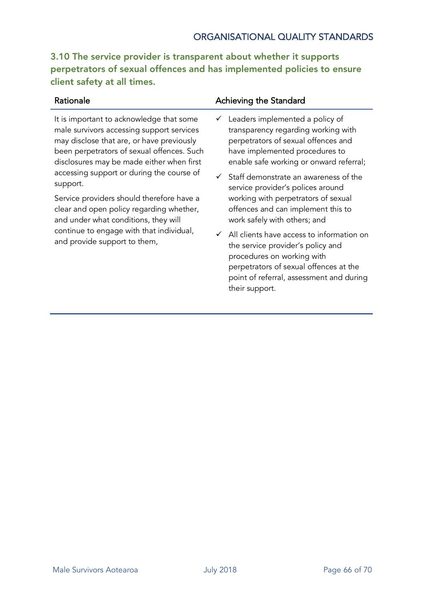#### ORGANISATIONAL QUALITY STANDARDS

3.10 The service provider is transparent about whether it supports perpetrators of sexual offences and has implemented policies to ensure client safety at all times.

It is important to acknowledge that some male survivors accessing support services may disclose that are, or have previously been perpetrators of sexual offences. Such disclosures may be made either when first accessing support or during the course of support.

Service providers should therefore have a clear and open policy regarding whether, and under what conditions, they will continue to engage with that individual, and provide support to them,

#### Rationale **Achieving the Standard**

- $\checkmark$  Leaders implemented a policy of transparency regarding working with perpetrators of sexual offences and have implemented procedures to enable safe working or onward referral;
- $\checkmark$  Staff demonstrate an awareness of the service provider's polices around working with perpetrators of sexual offences and can implement this to work safely with others; and
- $\checkmark$  All clients have access to information on the service provider's policy and procedures on working with perpetrators of sexual offences at the point of referral, assessment and during their support.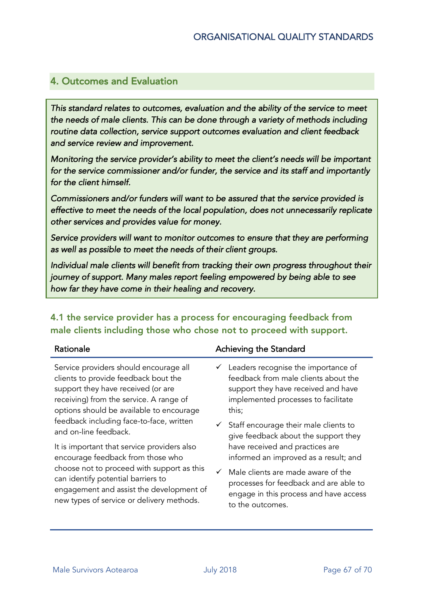#### 4. Outcomes and Evaluation

*This standard relates to outcomes, evaluation and the ability of the service to meet the needs of male clients. This can be done through a variety of methods including routine data collection, service support outcomes evaluation and client feedback and service review and improvement.* 

*Monitoring the service provider's ability to meet the client's needs will be important for the service commissioner and/or funder, the service and its staff and importantly for the client himself.* 

*Commissioners and/or funders will want to be assured that the service provided is effective to meet the needs of the local population, does not unnecessarily replicate other services and provides value for money.* 

*Service providers will want to monitor outcomes to ensure that they are performing as well as possible to meet the needs of their client groups.* 

*Individual male clients will benefit from tracking their own progress throughout their journey of support. Many males report feeling empowered by being able to see how far they have come in their healing and recovery.* 

4.1 the service provider has a process for encouraging feedback from male clients including those who chose not to proceed with support.

| Rationale                                   | Achieving the Standard                                         |
|---------------------------------------------|----------------------------------------------------------------|
| Service providers should encourage all      | $\checkmark$ Leaders recognise the importance of               |
| clients to provide feedback bout the        | feedback from male clients about the                           |
| support they have received (or are          | support they have received and have                            |
| receiving) from the service. A range of     | implemented processes to facilitate                            |
| options should be available to encourage    | this;                                                          |
| feedback including face-to-face, written    | $\checkmark$ Staff encourage their male clients to             |
| and on-line feedback.                       | give feedback about the support they                           |
| It is important that service providers also | have received and practices are                                |
| encourage feedback from those who           | informed an improved as a result; and                          |
| choose not to proceed with support as this  | $\angle$ Metabolic structure and a set of the structure $\int$ |

Male clients are made aware of the processes for feedback and are able to engage in this process and have access to the outcomes.

can identify potential barriers to

engagement and assist the development of new types of service or delivery methods.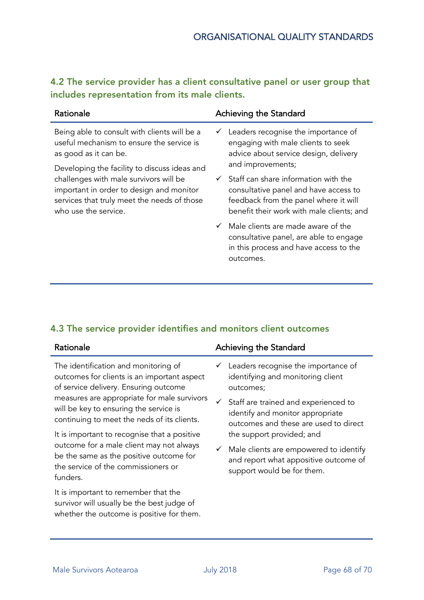#### 4.2 The service provider has a client consultative panel or user group that includes representation from its male clients.

| Rationale                                                                                                                                                                                                                                                                                                                       | Achieving the Standard                                                                                                                                                                                |
|---------------------------------------------------------------------------------------------------------------------------------------------------------------------------------------------------------------------------------------------------------------------------------------------------------------------------------|-------------------------------------------------------------------------------------------------------------------------------------------------------------------------------------------------------|
| Being able to consult with clients will be a<br>useful mechanism to ensure the service is<br>as good as it can be.<br>Developing the facility to discuss ideas and<br>challenges with male survivors will be<br>important in order to design and monitor<br>services that truly meet the needs of those<br>who use the service. | $\checkmark$ Leaders recognise the importance of<br>engaging with male clients to seek<br>advice about service design, delivery                                                                       |
|                                                                                                                                                                                                                                                                                                                                 | and improvements;<br>$\checkmark$ Staff can share information with the<br>consultative panel and have access to<br>feedback from the panel where it will<br>benefit their work with male clients; and |
|                                                                                                                                                                                                                                                                                                                                 | $\checkmark$ Male clients are made aware of the<br>consultative panel, are able to engage<br>in this process and have access to the<br>outcomes.                                                      |

#### 4.3 The service provider identifies and monitors client outcomes

| Rationale                                                                                                                            | Achieving the Standard                                                                                                         |
|--------------------------------------------------------------------------------------------------------------------------------------|--------------------------------------------------------------------------------------------------------------------------------|
| The identification and monitoring of<br>outcomes for clients is an important aspect<br>of service delivery. Ensuring outcome         | Leaders recognise the importance of<br>✓<br>identifying and monitoring client<br>outcomes;                                     |
| measures are appropriate for male survivors<br>will be key to ensuring the service is<br>continuing to meet the neds of its clients. | $\checkmark$ Staff are trained and experienced to<br>identify and monitor appropriate<br>outcomes and these are used to direct |
| It is important to recognise that a positive                                                                                         | the support provided; and                                                                                                      |
| outcome for a male client may not always<br>be the same as the positive outcome for<br>the service of the commissioners or           | Male clients are empowered to identify<br>$\checkmark$<br>and report what appositive outcome of<br>support would be for them.  |

It is important to remember that the survivor will usually be the best judge of whether the outcome is positive for them.

#### Male Survivors Aotearoa **Male Survivors Aotearoa** July 2018 **Page 68 of 70**

funders.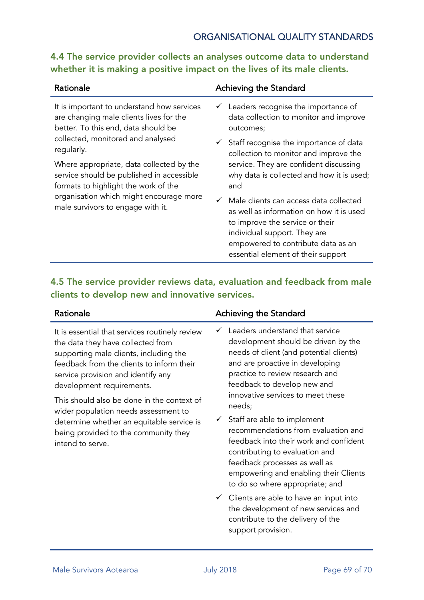#### ORGANISATIONAL QUALITY STANDARDS

#### 4.4 The service provider collects an analyses outcome data to understand whether it is making a positive impact on the lives of its male clients.

| Rationale                                                                                                                                                                                                     | Achieving the Standard                                                                                                                                                                                                            |
|---------------------------------------------------------------------------------------------------------------------------------------------------------------------------------------------------------------|-----------------------------------------------------------------------------------------------------------------------------------------------------------------------------------------------------------------------------------|
| It is important to understand how services<br>are changing male clients lives for the<br>better. To this end, data should be<br>collected, monitored and analysed<br>regularly.                               | $\checkmark$ Leaders recognise the importance of<br>data collection to monitor and improve<br>outcomes;                                                                                                                           |
|                                                                                                                                                                                                               | $\checkmark$ Staff recognise the importance of data<br>collection to monitor and improve the                                                                                                                                      |
| Where appropriate, data collected by the<br>service should be published in accessible<br>formats to highlight the work of the<br>organisation which might encourage more<br>male survivors to engage with it. | service. They are confident discussing<br>why data is collected and how it is used;<br>and                                                                                                                                        |
|                                                                                                                                                                                                               | Male clients can access data collected<br>as well as information on how it is used<br>to improve the service or their<br>individual support. They are<br>empowered to contribute data as an<br>essential element of their support |

#### 4.5 The service provider reviews data, evaluation and feedback from male clients to develop new and innovative services.

It is essential that services routinely review the data they have collected from supporting male clients, including the feedback from the clients to inform their service provision and identify any development requirements.

This should also be done in the context of wider population needs assessment to determine whether an equitable service is being provided to the community they intend to serve.

#### Rationale **Achieving the Standard**

- $\checkmark$  Leaders understand that service development should be driven by the needs of client (and potential clients) and are proactive in developing practice to review research and feedback to develop new and innovative services to meet these needs;
- $\checkmark$  Staff are able to implement recommendations from evaluation and feedback into their work and confident contributing to evaluation and feedback processes as well as empowering and enabling their Clients to do so where appropriate; and
- $\checkmark$  Clients are able to have an input into the development of new services and contribute to the delivery of the support provision.